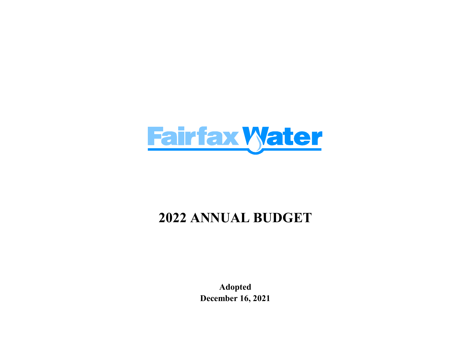

# 2022 ANNUAL BUDGET

Adopted December 16, 2021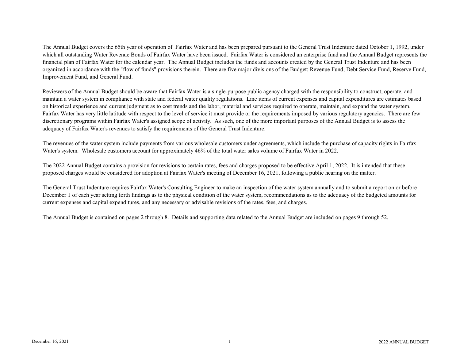The Annual Budget covers the 65th year of operation of Fairfax Water and has been prepared pursuant to the General Trust Indenture dated October 1, 1992, under which all outstanding Water Revenue Bonds of Fairfax Water have been issued. Fairfax Water is considered an enterprise fund and the Annual Budget represents the financial plan of Fairfax Water for the calendar year. The Annual Budget includes the funds and accounts created by the General Trust Indenture and has been organized in accordance with the "flow of funds" provisions therein. There are five major divisions of the Budget: Revenue Fund, Debt Service Fund, Reserve Fund, Improvement Fund, and General Fund.

Reviewers of the Annual Budget should be aware that Fairfax Water is a single-purpose public agency charged with the responsibility to construct, operate, and maintain a water system in compliance with state and federal water quality regulations. Line items of current expenses and capital expenditures are estimates based on historical experience and current judgment as to cost trends and the labor, material and services required to operate, maintain, and expand the water system. Fairfax Water has very little latitude with respect to the level of service it must provide or the requirements imposed by various regulatory agencies. There are few discretionary programs within Fairfax Water's assigned scope of activity. As such, one of the more important purposes of the Annual Budget is to assess the adequacy of Fairfax Water's revenues to satisfy the requirements of the General Trust Indenture.

The revenues of the water system include payments from various wholesale customers under agreements, which include the purchase of capacity rights in Fairfax Water's system. Wholesale customers account for approximately 46% of the total water sales volume of Fairfax Water in 2022.

The 2022 Annual Budget contains a provision for revisions to certain rates, fees and charges proposed to be effective April 1, 2022. It is intended that these proposed charges would be considered for adoption at Fairfax Water's meeting of December 16, 2021, following a public hearing on the matter.

The General Trust Indenture requires Fairfax Water's Consulting Engineer to make an inspection of the water system annually and to submit a report on or before December 1 of each year setting forth findings as to the physical condition of the water system, recommendations as to the adequacy of the budgeted amounts for current expenses and capital expenditures, and any necessary or advisable revisions of the rates, fees, and charges.

The Annual Budget is contained on pages 2 through 8. Details and supporting data related to the Annual Budget are included on pages 9 through 52.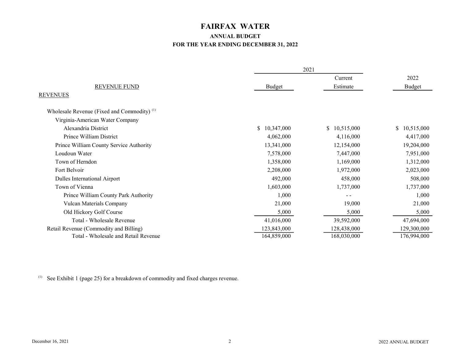# FAIRFAX WATER

# ANNUAL BUDGET FOR THE YEAR ENDING DECEMBER 31, 2022

|                                                        |                  | 2021         |                  |  |
|--------------------------------------------------------|------------------|--------------|------------------|--|
|                                                        |                  | Current      | 2022             |  |
| <b>REVENUE FUND</b>                                    | Budget           | Estimate     | <b>Budget</b>    |  |
| <b>REVENUES</b>                                        |                  |              |                  |  |
| Wholesale Revenue (Fixed and Commodity) <sup>(1)</sup> |                  |              |                  |  |
| Virginia-American Water Company                        |                  |              |                  |  |
| Alexandria District                                    | S.<br>10,347,000 | \$10,515,000 | S.<br>10,515,000 |  |
| Prince William District                                | 4,062,000        | 4,116,000    | 4,417,000        |  |
| Prince William County Service Authority                | 13,341,000       | 12,154,000   | 19,204,000       |  |
| Loudoun Water                                          | 7,578,000        | 7,447,000    | 7,951,000        |  |
| Town of Herndon                                        | 1,358,000        | 1,169,000    | 1,312,000        |  |
| Fort Belvoir                                           | 2,208,000        | 1,972,000    | 2,023,000        |  |
| Dulles International Airport                           | 492,000          | 458,000      | 508,000          |  |
| Town of Vienna                                         | 1,603,000        | 1,737,000    | 1,737,000        |  |
| Prince William County Park Authority                   | 1,000            |              | 1,000            |  |
| Vulcan Materials Company                               | 21,000           | 19,000       | 21,000           |  |
| Old Hickory Golf Course                                | 5,000            | 5,000        | 5,000            |  |
| Total - Wholesale Revenue                              | 41,016,000       | 39,592,000   | 47,694,000       |  |
| Retail Revenue (Commodity and Billing)                 | 123,843,000      | 128,438,000  | 129,300,000      |  |
| Total - Wholesale and Retail Revenue                   | 164,859,000      | 168,030,000  | 176,994,000      |  |

(1) See Exhibit 1 (page 25) for a breakdown of commodity and fixed charges revenue.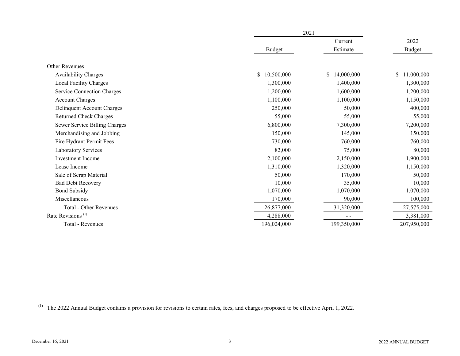|                               |                  | 2021             |               |  |
|-------------------------------|------------------|------------------|---------------|--|
|                               |                  | Current          | 2022          |  |
|                               | <b>Budget</b>    | Estimate         | <b>Budget</b> |  |
|                               |                  |                  |               |  |
| Other Revenues                |                  |                  |               |  |
| Availability Charges          | S.<br>10,500,000 | 14,000,000<br>\$ | \$11,000,000  |  |
| Local Facility Charges        | 1,300,000        | 1,400,000        | 1,300,000     |  |
| Service Connection Charges    | 1,200,000        | 1,600,000        | 1,200,000     |  |
| <b>Account Charges</b>        | 1,100,000        | 1,100,000        | 1,150,000     |  |
| Delinquent Account Charges    | 250,000          | 50,000           | 400,000       |  |
| <b>Returned Check Charges</b> | 55,000           | 55,000           | 55,000        |  |
| Sewer Service Billing Charges | 6,800,000        | 7,300,000        | 7,200,000     |  |
| Merchandising and Jobbing     | 150,000          | 145,000          | 150,000       |  |
| Fire Hydrant Permit Fees      | 730,000          | 760,000          | 760,000       |  |
| Laboratory Services           | 82,000           | 75,000           | 80,000        |  |
| Investment Income             | 2,100,000        | 2,150,000        | 1,900,000     |  |
| Lease Income                  | 1,310,000        | 1,320,000        | 1,150,000     |  |
| Sale of Scrap Material        | 50,000           | 170,000          | 50,000        |  |
| <b>Bad Debt Recovery</b>      | 10,000           | 35,000           | 10,000        |  |
| <b>Bond Subsidy</b>           | 1,070,000        | 1,070,000        | 1,070,000     |  |
| Miscellaneous                 | 170,000          | 90,000           | 100,000       |  |
| <b>Total - Other Revenues</b> | 26,877,000       | 31,320,000       | 27,575,000    |  |
| Rate Revisions <sup>(1)</sup> | 4,288,000        | $ -$             | 3,381,000     |  |
| Total - Revenues              | 196,024,000      | 199,350,000      | 207,950,000   |  |
|                               |                  |                  |               |  |

(1) The 2022 Annual Budget contains a provision for revisions to certain rates, fees, and charges proposed to be effective April 1, 2022.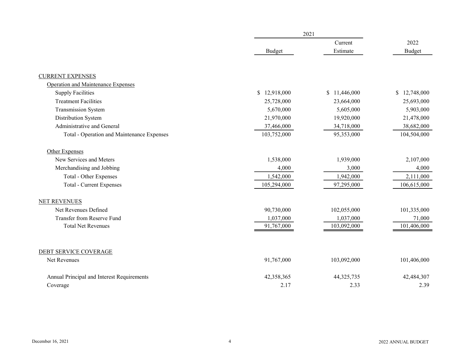|                                            |              | 2021         |               |  |
|--------------------------------------------|--------------|--------------|---------------|--|
|                                            |              | Current      | 2022          |  |
|                                            | Budget       | Estimate     | <b>Budget</b> |  |
|                                            |              |              |               |  |
| <b>CURRENT EXPENSES</b>                    |              |              |               |  |
| Operation and Maintenance Expenses         |              |              |               |  |
| <b>Supply Facilities</b>                   | \$12,918,000 | \$11,446,000 | \$12,748,000  |  |
| <b>Treatment Facilities</b>                | 25,728,000   | 23,664,000   | 25,693,000    |  |
| Transmission System                        | 5,670,000    | 5,605,000    | 5,903,000     |  |
| Distribution System                        | 21,970,000   | 19,920,000   | 21,478,000    |  |
| Administrative and General                 | 37,466,000   | 34,718,000   | 38,682,000    |  |
| Total - Operation and Maintenance Expenses | 103,752,000  | 95,353,000   | 104,504,000   |  |
| Other Expenses                             |              |              |               |  |
| New Services and Meters                    | 1,538,000    | 1,939,000    | 2,107,000     |  |
| Merchandising and Jobbing                  | 4,000        | 3,000        | 4,000         |  |
| Total - Other Expenses                     | 1,542,000    | 1,942,000    | 2,111,000     |  |
| <b>Total - Current Expenses</b>            | 105,294,000  | 97,295,000   | 106,615,000   |  |
| <b>NET REVENUES</b>                        |              |              |               |  |
| Net Revenues Defined                       | 90,730,000   | 102,055,000  | 101,335,000   |  |
| Transfer from Reserve Fund                 | 1,037,000    | 1,037,000    | 71,000        |  |
| <b>Total Net Revenues</b>                  | 91,767,000   | 103,092,000  | 101,406,000   |  |
| DEBT SERVICE COVERAGE                      |              |              |               |  |
| Net Revenues                               | 91,767,000   | 103,092,000  | 101,406,000   |  |
|                                            |              |              |               |  |
| Annual Principal and Interest Requirements | 42,358,365   | 44, 325, 735 | 42,484,307    |  |
| Coverage                                   | 2.17         | 2.33         | 2.39          |  |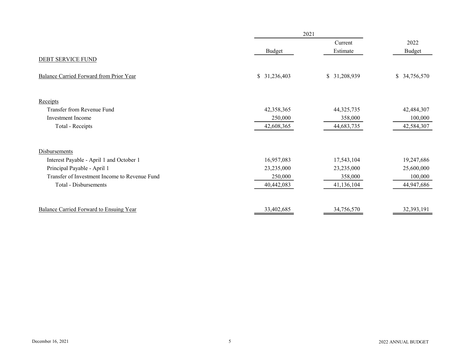|                                               | 2021          |               |               |  |
|-----------------------------------------------|---------------|---------------|---------------|--|
|                                               |               | Current       | 2022          |  |
|                                               | <b>Budget</b> | Estimate      | <b>Budget</b> |  |
| DEBT SERVICE FUND                             |               |               |               |  |
| Balance Carried Forward from Prior Year       | \$31,236,403  | \$ 31,208,939 | \$ 34,756,570 |  |
| Receipts                                      |               |               |               |  |
| Transfer from Revenue Fund                    | 42,358,365    | 44,325,735    | 42,484,307    |  |
| Investment Income                             | 250,000       | 358,000       | 100,000       |  |
| Total - Receipts                              | 42,608,365    | 44,683,735    | 42,584,307    |  |
| <b>Disbursements</b>                          |               |               |               |  |
| Interest Payable - April 1 and October 1      | 16,957,083    | 17,543,104    | 19,247,686    |  |
| Principal Payable - April 1                   | 23,235,000    | 23,235,000    | 25,600,000    |  |
| Transfer of Investment Income to Revenue Fund | 250,000       | 358,000       | 100,000       |  |
| Total - Disbursements                         | 40,442,083    | 41,136,104    | 44,947,686    |  |
| Balance Carried Forward to Ensuing Year       | 33,402,685    | 34,756,570    | 32,393,191    |  |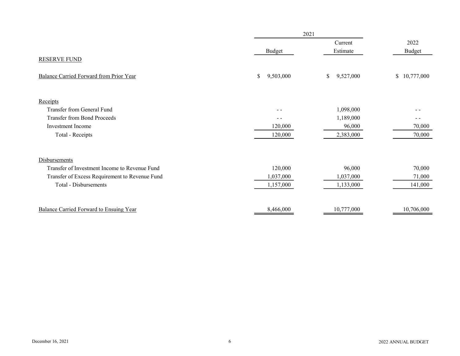|                                                |                 | 2021            |                  |  |
|------------------------------------------------|-----------------|-----------------|------------------|--|
|                                                |                 | Current         | 2022             |  |
|                                                | <b>Budget</b>   | Estimate        | <b>Budget</b>    |  |
| <b>RESERVE FUND</b>                            |                 |                 |                  |  |
| Balance Carried Forward from Prior Year        | \$<br>9,503,000 | 9,527,000<br>\$ | 10,777,000<br>\$ |  |
| Receipts                                       |                 |                 |                  |  |
| Transfer from General Fund                     |                 | 1,098,000       |                  |  |
| <b>Transfer from Bond Proceeds</b>             | $ -$            | 1,189,000       | - -              |  |
| Investment Income                              | 120,000         | 96,000          | 70,000           |  |
| Total - Receipts                               | 120,000         | 2,383,000       | 70,000           |  |
| Disbursements                                  |                 |                 |                  |  |
| Transfer of Investment Income to Revenue Fund  | 120,000         | 96,000          | 70,000           |  |
| Transfer of Excess Requirement to Revenue Fund | 1,037,000       | 1,037,000       | 71,000           |  |
| Total - Disbursements                          | 1,157,000       | 1,133,000       | 141,000          |  |
| Balance Carried Forward to Ensuing Year        | 8,466,000       | 10,777,000      | 10,706,000       |  |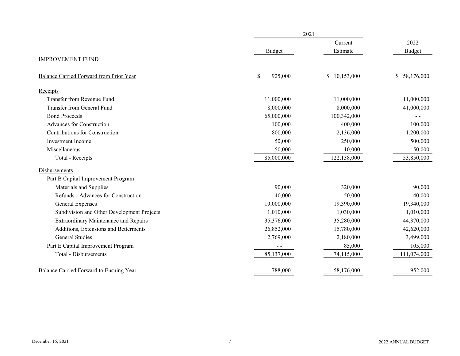|                                              |               | 2021         |               |  |
|----------------------------------------------|---------------|--------------|---------------|--|
|                                              |               | Current      | 2022          |  |
|                                              | Budget        | Estimate     | <b>Budget</b> |  |
| <b>IMPROVEMENT FUND</b>                      |               |              |               |  |
| Balance Carried Forward from Prior Year      | \$<br>925,000 | \$10,153,000 | \$58,176,000  |  |
| Receipts                                     |               |              |               |  |
| Transfer from Revenue Fund                   | 11,000,000    | 11,000,000   | 11,000,000    |  |
| Transfer from General Fund                   | 8,000,000     | 8,000,000    | 41,000,000    |  |
| <b>Bond Proceeds</b>                         | 65,000,000    | 100,342,000  |               |  |
| Advances for Construction                    | 100,000       | 400,000      | 100,000       |  |
| Contributions for Construction               | 800,000       | 2,136,000    | 1,200,000     |  |
| Investment Income                            | 50,000        | 250,000      | 500,000       |  |
| Miscellaneous                                | 50,000        | 10,000       | 50,000        |  |
| Total - Receipts                             | 85,000,000    | 122,138,000  | 53,850,000    |  |
| Disbursements                                |               |              |               |  |
| Part B Capital Improvement Program           |               |              |               |  |
| Materials and Supplies                       | 90,000        | 320,000      | 90,000        |  |
| Refunds - Advances for Construction          | 40,000        | 50,000       | 40,000        |  |
| General Expenses                             | 19,000,000    | 19,390,000   | 19,340,000    |  |
| Subdivision and Other Development Projects   | 1,010,000     | 1,030,000    | 1,010,000     |  |
| <b>Extraordinary Maintenance and Repairs</b> | 35,376,000    | 35,280,000   | 44,370,000    |  |
| Additions, Extensions and Betterments        | 26,852,000    | 15,780,000   | 42,620,000    |  |
| <b>General Studies</b>                       | 2,769,000     | 2,180,000    | 3,499,000     |  |
| Part E Capital Improvement Program           |               | 85,000       | 105,000       |  |
| <b>Total - Disbursements</b>                 | 85,137,000    | 74,115,000   | 111,074,000   |  |
| Balance Carried Forward to Ensuing Year      | 788,000       | 58,176,000   | 952,000       |  |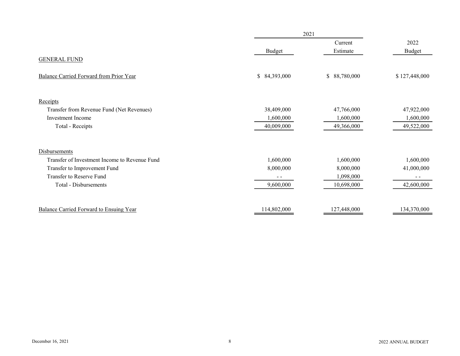|                                               |               | 2021         |               |  |
|-----------------------------------------------|---------------|--------------|---------------|--|
|                                               |               | Current      | 2022          |  |
|                                               | <b>Budget</b> | Estimate     | <b>Budget</b> |  |
| <b>GENERAL FUND</b>                           |               |              |               |  |
| Balance Carried Forward from Prior Year       | \$84,393,000  | \$88,780,000 | \$127,448,000 |  |
| Receipts                                      |               |              |               |  |
| Transfer from Revenue Fund (Net Revenues)     | 38,409,000    | 47,766,000   | 47,922,000    |  |
| Investment Income                             | 1,600,000     | 1,600,000    | 1,600,000     |  |
| Total - Receipts                              | 40,009,000    | 49,366,000   | 49,522,000    |  |
| Disbursements                                 |               |              |               |  |
| Transfer of Investment Income to Revenue Fund | 1,600,000     | 1,600,000    | 1,600,000     |  |
| Transfer to Improvement Fund                  | 8,000,000     | 8,000,000    | 41,000,000    |  |
| Transfer to Reserve Fund                      | $ -$          | 1,098,000    | $\frac{1}{2}$ |  |
| <b>Total - Disbursements</b>                  | 9,600,000     | 10,698,000   | 42,600,000    |  |
| Balance Carried Forward to Ensuing Year       | 114,802,000   | 127,448,000  | 134,370,000   |  |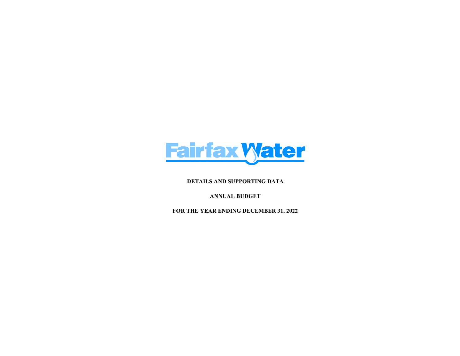

DETAILS AND SUPPORTING DATA

ANNUAL BUDGET

FOR THE YEAR ENDING DECEMBER 31, 2022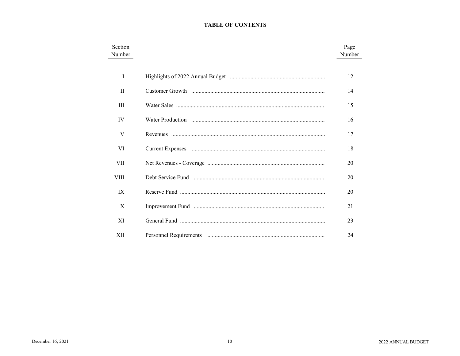## **TABLE OF CONTENTS**

| Section<br>Number | Page<br>Number |
|-------------------|----------------|
| I                 | 12             |
| $\mathbf{H}$      | 14             |
| Ш                 | 15             |
| IV                | 16             |
| V                 | 17             |
| VI                | 18             |
| VII               | 20             |
| <b>VIII</b>       | 20             |
| IX                | 20             |
| X                 | 21             |
| XI                | 23             |
| XII               | 24             |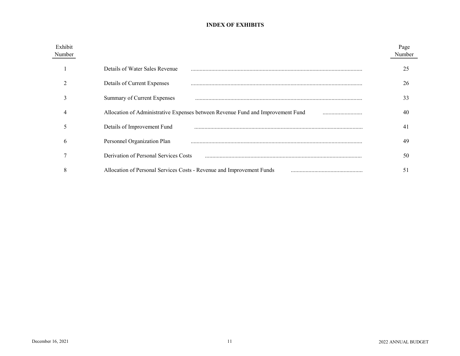## INDEX OF EXHIBITS

| Exhibit<br>Number |                                                                                     | Page<br>Number |
|-------------------|-------------------------------------------------------------------------------------|----------------|
|                   | Details of Water Sales Revenue                                                      | 25             |
|                   | Details of Current Expenses                                                         | 26             |
|                   | Summary of Current Expenses                                                         | 33             |
|                   | Allocation of Administrative Expenses between Revenue Fund and Improvement Fund<br> | 40             |
|                   | Details of Improvement Fund                                                         | 41             |
| <sub>b</sub>      | Personnel Organization Plan                                                         | 49             |
|                   | Derivation of Personal Services Costs                                               | 50             |
| 8                 | Allocation of Personal Services Costs - Revenue and Improvement Funds               | 51             |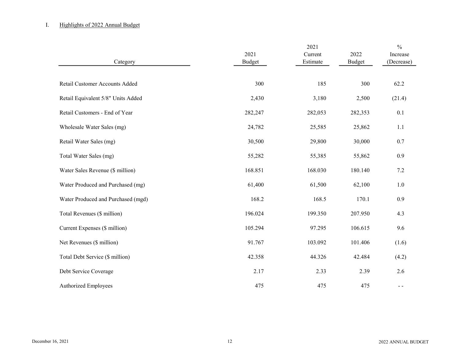## I. Highlights of 2022 Annual Budget

| Category                           | 2021<br><b>Budget</b> | 2021<br>Current<br>Estimate | 2022<br><b>Budget</b> | $\frac{0}{0}$<br>Increase<br>(Decrease) |
|------------------------------------|-----------------------|-----------------------------|-----------------------|-----------------------------------------|
| Retail Customer Accounts Added     | 300                   | 185                         | 300                   | 62.2                                    |
| Retail Equivalent 5/8" Units Added | 2,430                 | 3,180                       | 2,500                 | (21.4)                                  |
| Retail Customers - End of Year     | 282,247               | 282,053                     | 282,353               | 0.1                                     |
| Wholesale Water Sales (mg)         | 24,782                | 25,585                      | 25,862                | 1.1                                     |
| Retail Water Sales (mg)            | 30,500                | 29,800                      | 30,000                | $0.7\,$                                 |
| Total Water Sales (mg)             | 55,282                | 55,385                      | 55,862                | 0.9                                     |
| Water Sales Revenue (\$ million)   | 168.851               | 168.030                     | 180.140               | 7.2                                     |
| Water Produced and Purchased (mg)  | 61,400                | 61,500                      | 62,100                | 1.0                                     |
| Water Produced and Purchased (mgd) | 168.2                 | 168.5                       | 170.1                 | 0.9                                     |
| Total Revenues (\$ million)        | 196.024               | 199.350                     | 207.950               | 4.3                                     |
| Current Expenses (\$ million)      | 105.294               | 97.295                      | 106.615               | 9.6                                     |
| Net Revenues (\$ million)          | 91.767                | 103.092                     | 101.406               | (1.6)                                   |
| Total Debt Service (\$ million)    | 42.358                | 44.326                      | 42.484                | (4.2)                                   |
| Debt Service Coverage              | 2.17                  | 2.33                        | 2.39                  | 2.6                                     |
| Authorized Employees               | 475                   | 475                         | 475                   | $\sim$ $\sim$                           |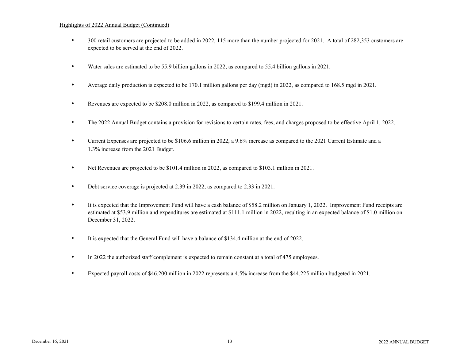#### Highlights of 2022 Annual Budget (Continued)

- s 300 retail customers are projected to be added in 2022, 115 more than the number projected for 2021. A total of 282,353 customers are expected to be served at the end of 2022.
- s Water sales are estimated to be 55.9 billion gallons in 2022, as compared to 55.4 billion gallons in 2021.
- s Average daily production is expected to be 170.1 million gallons per day (mgd) in 2022, as compared to 168.5 mgd in 2021.
- s Revenues are expected to be \$208.0 million in 2022, as compared to \$199.4 million in 2021.
- s The 2022 Annual Budget contains a provision for revisions to certain rates, fees, and charges proposed to be effective April 1, 2022.
- s Current Expenses are projected to be \$106.6 million in 2022, a 9.6% increase as compared to the 2021 Current Estimate and a 1.3% increase from the 2021 Budget.
- s Net Revenues are projected to be \$101.4 million in 2022, as compared to \$103.1 million in 2021.
- s Debt service coverage is projected at 2.39 in 2022, as compared to 2.33 in 2021.
- s It is expected that the Improvement Fund will have a cash balance of \$58.2 million on January 1, 2022. Improvement Fund receipts are estimated at \$53.9 million and expenditures are estimated at \$111.1 million in 2022, resulting in an expected balance of \$1.0 million on December 31, 2022.
- It is expected that the General Fund will have a balance of \$134.4 million at the end of 2022.
- $\bullet$  In 2022 the authorized staff complement is expected to remain constant at a total of 475 employees.
- s Expected payroll costs of \$46.200 million in 2022 represents a 4.5% increase from the \$44.225 million budgeted in 2021.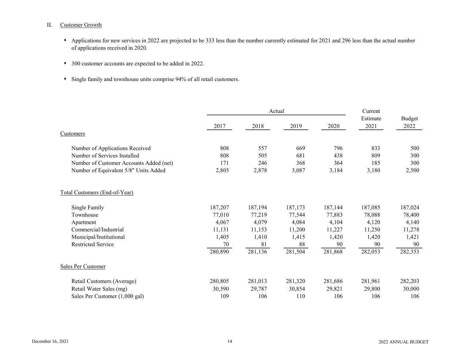#### II. Customer Growth

- Applications for new services in 2022 are projected to be 333 less than the number currently estimated for 2021 and 296 less than the actual number of applications received in 2020.
- 300 customer accounts are expected to be added in 2022.
- Single family and townhouse units comprise 94% of all retail customers.

|                                         |         | Actual  |         |         | Current          |                |
|-----------------------------------------|---------|---------|---------|---------|------------------|----------------|
|                                         | 2017    | 2018    | 2019    | 2020    | Estimate<br>2021 | Budget<br>2022 |
| Customers                               |         |         |         |         |                  |                |
| Number of Applications Received         | 808     | 557     | 669     | 796     | 833              | 500            |
| Number of Services Installed            | 808     | 505     | 681     | 438     | 809              | 300            |
| Number of Customer Accounts Added (net) | 171     | 246     | 368     | 364     | 185              | 300            |
| Number of Equivalent 5/8" Units Added   | 2,805   | 2,878   | 3,087   | 3,184   | 3,180            | 2,500          |
| Total Customers (End-of-Year)           |         |         |         |         |                  |                |
| Single Family                           | 187,207 | 187,194 | 187,173 | 187,144 | 187,085          | 187,024        |
| Townhouse                               | 77,010  | 77,219  | 77,544  | 77,883  | 78,088           | 78,400         |
| Apartment                               | 4,067   | 4,079   | 4,084   | 4,104   | 4,120            | 4,140          |
| Commercial/Industrial                   | 11,131  | 11,153  | 11,200  | 11,227  | 11,250           | 11,278         |
| Municipal/Institutional                 | 1,405   | 1,410   | 1,415   | 1,420   | 1,420            | 1,421          |
| <b>Restricted Service</b>               | 70      | 81      | 88      | 90      | 90               | 90             |
|                                         | 280,890 | 281,136 | 281,504 | 281,868 | 282,053          | 282,353        |
| Sales Per Customer                      |         |         |         |         |                  |                |
| Retail Customers (Average)              | 280,805 | 281,013 | 281,320 | 281,686 | 281,961          | 282,203        |
| Retail Water Sales (mg)                 | 30,590  | 29,787  | 30,854  | 29,821  | 29,800           | 30,000         |
| Sales Per Customer (1,000 gal)          | 109     | 106     | 110     | 106     | 106              | 106            |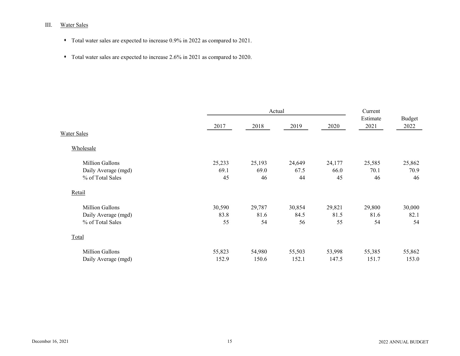# III. Water Sales

- $\bullet$  Total water sales are expected to increase 0.9% in 2022 as compared to 2021.
- Total water sales are expected to increase 2.6% in 2021 as compared to 2020.

|                        |        | Actual |        |        | Current          |                |
|------------------------|--------|--------|--------|--------|------------------|----------------|
|                        | 2017   | 2018   | 2019   | 2020   | Estimate<br>2021 | Budget<br>2022 |
| <b>Water Sales</b>     |        |        |        |        |                  |                |
| Wholesale              |        |        |        |        |                  |                |
| Million Gallons        | 25,233 | 25,193 | 24,649 | 24,177 | 25,585           | 25,862         |
| Daily Average (mgd)    | 69.1   | 69.0   | 67.5   | 66.0   | 70.1             | 70.9           |
| % of Total Sales       | 45     | 46     | 44     | 45     | 46               | 46             |
| Retail                 |        |        |        |        |                  |                |
| Million Gallons        | 30,590 | 29,787 | 30,854 | 29,821 | 29,800           | 30,000         |
| Daily Average (mgd)    | 83.8   | 81.6   | 84.5   | 81.5   | 81.6             | 82.1           |
| % of Total Sales       | 55     | 54     | 56     | 55     | 54               | 54             |
| Total                  |        |        |        |        |                  |                |
| <b>Million Gallons</b> | 55,823 | 54,980 | 55,503 | 53,998 | 55,385           | 55,862         |
| Daily Average (mgd)    | 152.9  | 150.6  | 152.1  | 147.5  | 151.7            | 153.0          |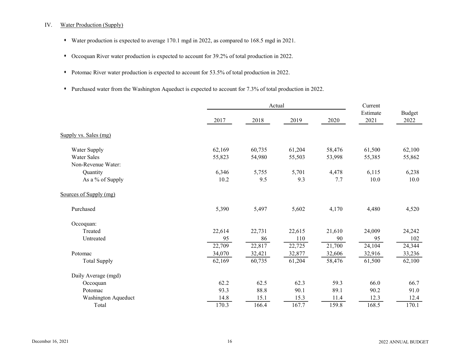#### IV. Water Production (Supply)

- s Water production is expected to average 170.1 mgd in 2022, as compared to 168.5 mgd in 2021.
- Occoquan River water production is expected to account for 39.2% of total production in 2022.
- Potomac River water production is expected to account for 53.5% of total production in 2022.
- Purchased water from the Washington Aqueduct is expected to account for 7.3% of total production in 2022.

|                        |        | Actual |        | Current |                  |                       |
|------------------------|--------|--------|--------|---------|------------------|-----------------------|
|                        | 2017   | 2018   | 2019   | 2020    | Estimate<br>2021 | <b>Budget</b><br>2022 |
| Supply vs. Sales (mg)  |        |        |        |         |                  |                       |
| Water Supply           | 62,169 | 60,735 | 61,204 | 58,476  | 61,500           | 62,100                |
| <b>Water Sales</b>     | 55,823 | 54,980 | 55,503 | 53,998  | 55,385           | 55,862                |
| Non-Revenue Water:     |        |        |        |         |                  |                       |
| Quantity               | 6,346  | 5,755  | 5,701  | 4,478   | 6,115            | 6,238                 |
| As a % of Supply       | 10.2   | 9.5    | 9.3    | 7.7     | 10.0             | 10.0                  |
| Sources of Supply (mg) |        |        |        |         |                  |                       |
| Purchased              | 5,390  | 5,497  | 5,602  | 4,170   | 4,480            | 4,520                 |
| Occoquan:              |        |        |        |         |                  |                       |
| Treated                | 22,614 | 22,731 | 22,615 | 21,610  | 24,009           | 24,242                |
| Untreated              | 95     | 86     | 110    | 90      | 95               | 102                   |
|                        | 22,709 | 22,817 | 22,725 | 21,700  | 24,104           | 24,344                |
| Potomac                | 34,070 | 32,421 | 32,877 | 32,606  | 32,916           | 33,236                |
| <b>Total Supply</b>    | 62,169 | 60,735 | 61,204 | 58,476  | 61,500           | 62,100                |
| Daily Average (mgd)    |        |        |        |         |                  |                       |
| Occoquan               | 62.2   | 62.5   | 62.3   | 59.3    | 66.0             | 66.7                  |
| Potomac                | 93.3   | 88.8   | 90.1   | 89.1    | 90.2             | 91.0                  |
| Washington Aqueduct    | 14.8   | 15.1   | 15.3   | 11.4    | 12.3             | 12.4                  |
| Total                  | 170.3  | 166.4  | 167.7  | 159.8   | 168.5            | 170.1                 |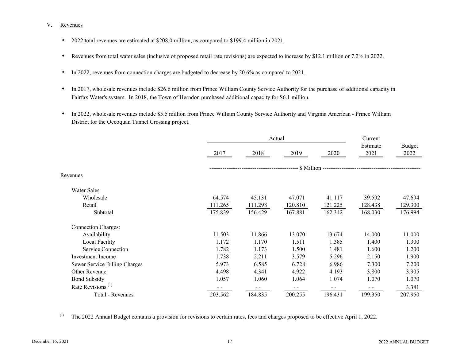#### V. Revenues

- \* 2022 total revenues are estimated at \$208.0 million, as compared to \$199.4 million in 2021.
- s Revenues from total water sales (inclusive of proposed retail rate revisions) are expected to increase by \$12.1 million or 7.2% in 2022.
- In 2022, revenues from connection charges are budgeted to decrease by 20.6% as compared to 2021.
- In 2017, wholesale revenues include \$26.6 million from Prince William County Service Authority for the purchase of additional capacity in Fairfax Water's system. In 2018, the Town of Herndon purchased additional capacity for \$6.1 million.
- s In 2022, wholesale revenues include \$5.5 million from Prince William County Service Authority and Virginia American Prince William District for the Occoquan Tunnel Crossing project.

|                               |         | Actual  | Current |                                        |                  |                |
|-------------------------------|---------|---------|---------|----------------------------------------|------------------|----------------|
|                               | 2017    | 2018    | 2019    | 2020                                   | Estimate<br>2021 | Budget<br>2022 |
|                               |         |         |         | \$ Million --------------------------- |                  |                |
| Revenues                      |         |         |         |                                        |                  |                |
| Water Sales                   |         |         |         |                                        |                  |                |
| Wholesale                     | 64.574  | 45.131  | 47.071  | 41.117                                 | 39.592           | 47.694         |
| Retail                        | 111.265 | 111.298 | 120.810 | 121.225                                | 128.438          | 129.300        |
| Subtotal                      | 175.839 | 156.429 | 167.881 | 162.342                                | 168.030          | 176.994        |
| <b>Connection Charges:</b>    |         |         |         |                                        |                  |                |
| Availability                  | 11.503  | 11.866  | 13.070  | 13.674                                 | 14.000           | 11.000         |
| Local Facility                | 1.172   | 1.170   | 1.511   | 1.385                                  | 1.400            | 1.300          |
| Service Connection            | 1.782   | 1.173   | 1.500   | 1.481                                  | 1.600            | 1.200          |
| Investment Income             | 1.738   | 2.211   | 3.579   | 5.296                                  | 2.150            | 1.900          |
| Sewer Service Billing Charges | 5.973   | 6.585   | 6.728   | 6.986                                  | 7.300            | 7.200          |
| Other Revenue                 | 4.498   | 4.341   | 4.922   | 4.193                                  | 3.800            | 3.905          |
| <b>Bond Subsidy</b>           | 1.057   | 1.060   | 1.064   | 1.074                                  | 1.070            | 1.070          |
| Rate Revisions <sup>(1)</sup> |         | $ -$    | $ -$    | - -                                    | - -              | 3.381          |
| Total - Revenues              | 203.562 | 184.835 | 200.255 | 196.431                                | 199.350          | 207.950        |

(1) The 2022 Annual Budget contains a provision for revisions to certain rates, fees and charges proposed to be effective April 1, 2022.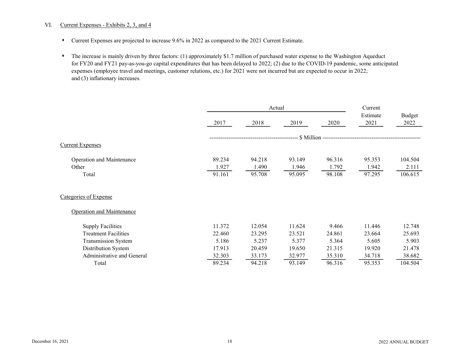#### VI. Current Expenses - Exhibits 2, 3, and 4

- s Current Expenses are projected to increase 9.6% in 2022 as compared to the 2021 Current Estimate.
- s The increase is mainly driven by three factors: (1) approximately \$1.7 million of purchased water expense to the Washington Aqueduct for FY20 and FY21 pay-as-you-go capital expenditures that has been delayed to 2022; (2) due to the COVID-19 pandemic, some anticipated expenses (employee travel and meetings, customer relations, etc.) for 2021 were not incurred but are expected to occur in 2022; and (3) inflationary increases.

|                                  |        | Actual | Current |        |                  |                |
|----------------------------------|--------|--------|---------|--------|------------------|----------------|
|                                  | 2017   | 2018   | 2019    | 2020   | Estimate<br>2021 | Budget<br>2022 |
|                                  |        |        |         |        |                  |                |
| <b>Current Expenses</b>          |        |        |         |        |                  |                |
| Operation and Maintenance        | 89.234 | 94.218 | 93.149  | 96.316 | 95.353           | 104.504        |
| Other                            | 1.927  | 1.490  | 1.946   | 1.792  | 1.942            | 2.111          |
| Total                            | 91.161 | 95.708 | 95.095  | 98.108 | 97.295           | 106.615        |
| Categories of Expense            |        |        |         |        |                  |                |
| <b>Operation and Maintenance</b> |        |        |         |        |                  |                |
| <b>Supply Facilities</b>         | 11.372 | 12.054 | 11.624  | 9.466  | 11.446           | 12.748         |
| <b>Treatment Facilities</b>      | 22.460 | 23.295 | 23.521  | 24.861 | 23.664           | 25.693         |
| Transmission System              | 5.186  | 5.237  | 5.377   | 5.364  | 5.605            | 5.903          |
| Distribution System              | 17.913 | 20.459 | 19.650  | 21.315 | 19.920           | 21.478         |
| Administrative and General       | 32.303 | 33.173 | 32.977  | 35.310 | 34.718           | 38.682         |
| Total                            | 89.234 | 94.218 | 93.149  | 96.316 | 95.353           | 104.504        |
|                                  |        |        |         |        |                  |                |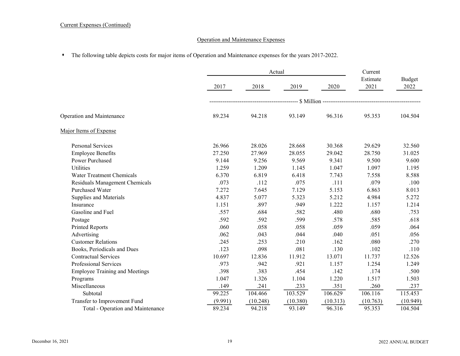## Current Expenses (Continued)

## Operation and Maintenance Expenses

# s The following table depicts costs for major items of Operation and Maintenance expenses for the years 2017-2022.

|                                       |         | Actual   |          | Current  |                  |                |
|---------------------------------------|---------|----------|----------|----------|------------------|----------------|
|                                       | 2017    | 2018     | 2019     | 2020     | Estimate<br>2021 | Budget<br>2022 |
|                                       |         |          |          |          |                  |                |
| Operation and Maintenance             | 89.234  | 94.218   | 93.149   | 96.316   | 95.353           | 104.504        |
| Major Items of Expense                |         |          |          |          |                  |                |
| <b>Personal Services</b>              | 26.966  | 28.026   | 28.668   | 30.368   | 29.629           | 32.560         |
| <b>Employee Benefits</b>              | 27.250  | 27.969   | 28.055   | 29.042   | 28.750           | 31.025         |
| Power Purchased                       | 9.144   | 9.256    | 9.569    | 9.341    | 9.500            | 9.600          |
| <b>Utilities</b>                      | 1.259   | 1.209    | 1.145    | 1.047    | 1.097            | 1.195          |
| Water Treatment Chemicals             | 6.370   | 6.819    | 6.418    | 7.743    | 7.558            | 8.588          |
| Residuals Management Chemicals        | .073    | .112     | .075     | .111     | .079             | .100           |
| <b>Purchased Water</b>                | 7.272   | 7.645    | 7.129    | 5.153    | 6.863            | 8.013          |
| Supplies and Materials                | 4.837   | 5.077    | 5.323    | 5.212    | 4.984            | 5.272          |
| Insurance                             | 1.151   | .897     | .949     | 1.222    | 1.157            | 1.214          |
| Gasoline and Fuel                     | .557    | .684     | .582     | .480     | .680             | .753           |
| Postage                               | .592    | .592     | .599     | .578     | .585             | .618           |
| Printed Reports                       | .060    | .058     | .058     | .059     | .059             | .064           |
| Advertising                           | .062    | .043     | .044     | .040     | .051             | .056           |
| <b>Customer Relations</b>             | .245    | .253     | .210     | .162     | .080             | .270           |
| Books, Periodicals and Dues           | .123    | .098     | .081     | .130     | .102             | .110           |
| <b>Contractual Services</b>           | 10.697  | 12.836   | 11.912   | 13.071   | 11.737           | 12.526         |
| Professional Services                 | .973    | .942     | .921     | 1.157    | 1.254            | 1.249          |
| <b>Employee Training and Meetings</b> | .398    | .383     | .454     | .142     | .174             | .500           |
| Programs                              | 1.047   | 1.326    | 1.104    | 1.220    | 1.517            | 1.503          |
| Miscellaneous                         | .149    | .241     | .233     | .351     | .260             | .237           |
| Subtotal                              | 99.225  | 104.466  | 103.529  | 106.629  | 106.116          | 115.453        |
| Transfer to Improvement Fund          | (9.991) | (10.248) | (10.380) | (10.313) | (10.763)         | (10.949)       |
| Total - Operation and Maintenance     | 89.234  | 94.218   | 93.149   | 96.316   | 95.353           | 104.504        |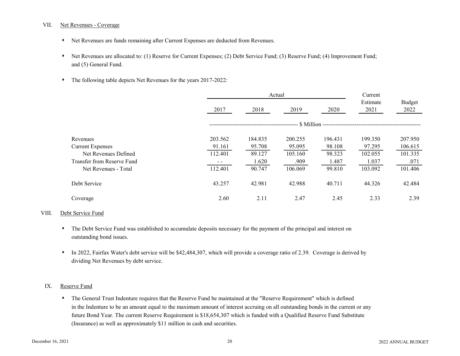#### VII. Net Revenues - Coverage

- \* Net Revenues are funds remaining after Current Expenses are deducted from Revenues.
- Net Revenues are allocated to: (1) Reserve for Current Expenses; (2) Debt Service Fund; (3) Reserve Fund; (4) Improvement Fund; and (5) General Fund.
- The following table depicts Net Revenues for the years 2017-2022:

|                            |         | Actual  |         |         |                  |                       |  |
|----------------------------|---------|---------|---------|---------|------------------|-----------------------|--|
|                            | 2017    | 2018    | 2019    | 2020    | Estimate<br>2021 | <b>Budget</b><br>2022 |  |
|                            |         |         |         |         |                  |                       |  |
| Revenues                   | 203.562 | 184.835 | 200.255 | 196.431 | 199.350          | 207.950               |  |
| <b>Current Expenses</b>    | 91.161  | 95.708  | 95.095  | 98.108  | 97.295           | 106.615               |  |
| Net Revenues Defined       | 112.401 | 89.127  | 105.160 | 98.323  | 102.055          | 101.335               |  |
| Transfer from Reserve Fund |         | 1.620   | .909    | 1.487   | 1.037            | .071                  |  |
| Net Revenues - Total       | 112.401 | 90.747  | 106.069 | 99.810  | 103.092          | 101.406               |  |
| Debt Service               | 43.257  | 42.981  | 42.988  | 40.711  | 44.326           | 42.484                |  |
| Coverage                   | 2.60    | 2.11    | 2.47    | 2.45    | 2.33             | 2.39                  |  |

#### VIII. Debt Service Fund

- s The Debt Service Fund was established to accumulate deposits necessary for the payment of the principal and interest on outstanding bond issues.
- \* In 2022, Fairfax Water's debt service will be \$42,484,307, which will provide a coverage ratio of 2.39. Coverage is derived by dividing Net Revenues by debt service.

#### IX. Reserve Fund

s The General Trust Indenture requires that the Reserve Fund be maintained at the "Reserve Requirement" which is defined in the Indenture to be an amount equal to the maximum amount of interest accruing on all outstanding bonds in the current or any future Bond Year. The current Reserve Requirement is \$18,654,307 which is funded with a Qualified Reserve Fund Substitute (Insurance) as well as approximately \$11 million in cash and securities.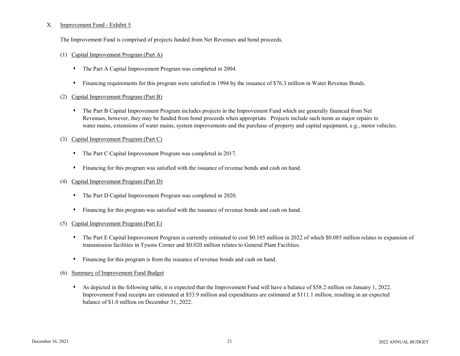#### X. Improvement Fund - Exhibit 5

The Improvement Fund is comprised of projects funded from Net Revenues and bond proceeds.

#### (1) Capital Improvement Program (Part A)

- The Part A Capital Improvement Program was completed in 2004.
- s Financing requirements for this program were satisfied in 1994 by the issuance of \$76.3 million in Water Revenue Bonds.
- (2) Capital Improvement Program (Part B)
	- s The Part B Capital Improvement Program includes projects in the Improvement Fund which are generally financed from Net Revenues, however, they may be funded from bond proceeds when appropriate. Projects include such items as major repairs to water mains, extensions of water mains, system improvements and the purchase of property and capital equipment, e.g., motor vehicles.
- (3) Capital Improvement Program (Part C)
	- The Part C Capital Improvement Program was completed in 2017.
	- $\bullet$  Financing for this program was satisfied with the issuance of revenue bonds and cash on hand.
- (4) Capital Improvement Program (Part D)
	- The Part D Capital Improvement Program was completed in 2020.
	- $\bullet$  Financing for this program was satisfied with the issuance of revenue bonds and cash on hand.

#### (5) Capital Improvement Program (Part E)

- The Part E Capital Improvement Program is currently estimated to cost \$0.105 million in 2022 of which \$0.085 million relates to expansion of transmission facilities in Tysons Corner and \$0.020 million relates to General Plant Facilities.
- s Financing for this program is from the issuance of revenue bonds and cash on hand.
- (6) Summary of Improvement Fund Budget
	- \* As depicted in the following table, it is expected that the Improvement Fund will have a balance of \$58.2 million on January 1, 2022. Improvement Fund receipts are estimated at \$53.9 million and expenditures are estimated at \$111.1 million, resulting in an expected balance of \$1.0 million on December 31, 2022.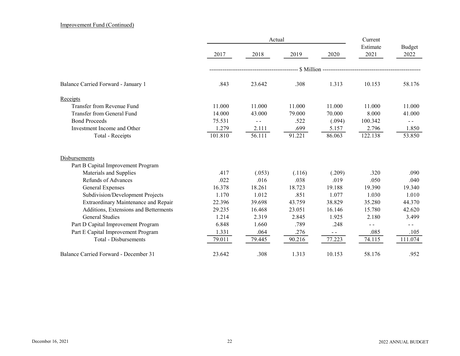#### Improvement Fund (Continued)

|                                       |         |        | Current |                                           |                  |                |
|---------------------------------------|---------|--------|---------|-------------------------------------------|------------------|----------------|
|                                       | 2017    | 2018   | 2019    | 2020                                      | Estimate<br>2021 | Budget<br>2022 |
|                                       |         |        |         | -- \$ Million --------------------------- |                  |                |
| Balance Carried Forward - January 1   | .843    | 23.642 | .308    | 1.313                                     | 10.153           | 58.176         |
| Receipts                              |         |        |         |                                           |                  |                |
| Transfer from Revenue Fund            | 11.000  | 11.000 | 11.000  | 11.000                                    | 11.000           | 11.000         |
| Transfer from General Fund            | 14.000  | 43.000 | 79.000  | 70.000                                    | 8.000            | 41.000         |
| <b>Bond Proceeds</b>                  | 75.531  | $- -$  | .522    | (.094)                                    | 100.342          | $ -$           |
| Investment Income and Other           | 1.279   | 2.111  | .699    | 5.157                                     | 2.796            | 1.850          |
| Total - Receipts                      | 101.810 | 56.111 | 91.221  | 86.063                                    | 122.138          | 53.850         |
| Disbursements                         |         |        |         |                                           |                  |                |
| Part B Capital Improvement Program    |         |        |         |                                           |                  |                |
| Materials and Supplies                | .417    | (.053) | (.116)  | (.209)                                    | .320             | .090           |
| <b>Refunds of Advances</b>            | .022    | .016   | .038    | .019                                      | .050             | .040           |
| General Expenses                      | 16.378  | 18.261 | 18.723  | 19.188                                    | 19.390           | 19.340         |
| Subdivision/Development Projects      | 1.170   | 1.012  | .851    | 1.077                                     | 1.030            | 1.010          |
| Extraordinary Maintenance and Repair  | 22.396  | 39.698 | 43.759  | 38.829                                    | 35.280           | 44.370         |
| Additions, Extensions and Betterments | 29.235  | 16.468 | 23.051  | 16.146                                    | 15.780           | 42.620         |
| <b>General Studies</b>                | 1.214   | 2.319  | 2.845   | 1.925                                     | 2.180            | 3.499          |
| Part D Capital Improvement Program    | 6.848   | 1.660  | .789    | .248                                      | $ -$             | $- -$          |
| Part E Capital Improvement Program    | 1.331   | .064   | .276    | $ -$                                      | .085             | .105           |
| Total - Disbursements                 | 79.011  | 79.445 | 90.216  | 77.223                                    | 74.115           | 111.074        |
| Balance Carried Forward - December 31 | 23.642  | .308   | 1.313   | 10.153                                    | 58.176           | .952           |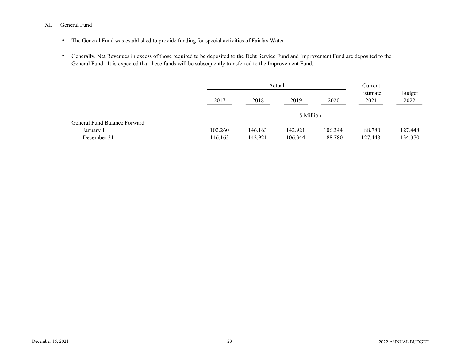## XI. General Fund

- The General Fund was established to provide funding for special activities of Fairfax Water.
- s Generally, Net Revenues in excess of those required to be deposited to the Debt Service Fund and Improvement Fund are deposited to the General Fund. It is expected that these funds will be subsequently transferred to the Improvement Fund.

|                              |         | Actual  |         |         |                  |                |  |  |
|------------------------------|---------|---------|---------|---------|------------------|----------------|--|--|
|                              | 2017    | 2018    | 2019    | 2020    | Estimate<br>2021 | Budget<br>2022 |  |  |
|                              |         |         |         |         |                  |                |  |  |
| General Fund Balance Forward |         |         |         |         |                  |                |  |  |
| January 1                    | 102.260 | 146.163 | 142.921 | 106.344 | 88.780           | 127.448        |  |  |
| December 31                  | 146.163 | 142.921 | 106.344 | 88.780  | 127.448          | 134.370        |  |  |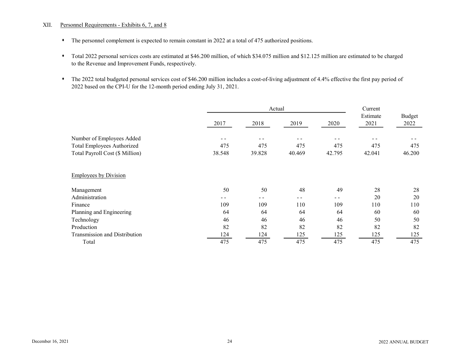#### XII. Personnel Requirements - Exhibits 6, 7, and 8

- The personnel complement is expected to remain constant in 2022 at a total of 475 authorized positions.
- s Total 2022 personal services costs are estimated at \$46.200 million, of which \$34.075 million and \$12.125 million are estimated to be charged to the Revenue and Improvement Funds, respectively.
- s The 2022 total budgeted personal services cost of \$46.200 million includes a cost-of-living adjustment of 4.4% effective the first pay period of 2022 based on the CPI-U for the 12-month period ending July 31, 2021.

|                                      |        | Actual |        |        |                  |                |
|--------------------------------------|--------|--------|--------|--------|------------------|----------------|
|                                      | 2017   | 2018   | 2019   | 2020   | Estimate<br>2021 | Budget<br>2022 |
| Number of Employees Added            | - -    |        |        |        |                  |                |
| Total Employees Authorized           | 475    | 475    | 475    | 475    | 475              | 475            |
| Total Payroll Cost (\$ Million)      | 38.548 | 39.828 | 40.469 | 42.795 | 42.041           | 46.200         |
| <b>Employees by Division</b>         |        |        |        |        |                  |                |
| Management                           | 50     | 50     | 48     | 49     | 28               | 28             |
| Administration                       |        |        |        |        | 20               | 20             |
| Finance                              | 109    | 109    | 110    | 109    | 110              | 110            |
| Planning and Engineering             | 64     | 64     | 64     | 64     | 60               | 60             |
| Technology                           | 46     | 46     | 46     | 46     | 50               | 50             |
| Production                           | 82     | 82     | 82     | 82     | 82               | 82             |
| <b>Transmission and Distribution</b> | 124    | 124    | 125    | 125    | 125              | 125            |
| Total                                | 475    | 475    | 475    | 475    | 475              | 475            |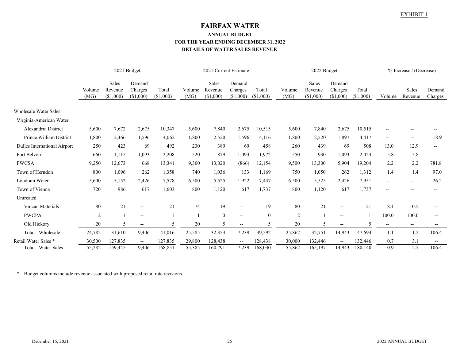# FAIRFAX WATER ANNUAL BUDGET FOR THE YEAR ENDING DECEMBER 31, 2022 DETAILS OF WATER SALES REVENUE

|                              |                |                               | 2021 Budget                    |                    |                | 2021 Current Estimate         |                                |                    | 2022 Budget    |                               |                                | % Increase / (Decrease) |                                                     |                   |                          |
|------------------------------|----------------|-------------------------------|--------------------------------|--------------------|----------------|-------------------------------|--------------------------------|--------------------|----------------|-------------------------------|--------------------------------|-------------------------|-----------------------------------------------------|-------------------|--------------------------|
|                              | Volume<br>(MG) | Sales<br>Revenue<br>(\$1,000) | Demand<br>Charges<br>(\$1,000) | Total<br>(\$1,000) | Volume<br>(MG) | Sales<br>Revenue<br>(\$1,000) | Demand<br>Charges<br>(\$1,000) | Total<br>(\$1,000) | Volume<br>(MG) | Sales<br>Revenue<br>(\$1,000) | Demand<br>Charges<br>(\$1,000) | Total<br>(\$1,000)      | Volume                                              | Sales<br>Revenue  | Demand<br>Charges        |
| <b>Wholesale Water Sales</b> |                |                               |                                |                    |                |                               |                                |                    |                |                               |                                |                         |                                                     |                   |                          |
| Virginia-American Water      |                |                               |                                |                    |                |                               |                                |                    |                |                               |                                |                         |                                                     |                   |                          |
| Alexandria District          | 5,600          | 7,672                         | 2,675                          | 10,347             | 5,600          | 7,840                         | 2,675                          | 10,515             | 5,600          | 7,840                         | 2,675                          | 10,515                  | $\overline{\phantom{a}}$                            |                   |                          |
| Prince William District      | 1,800          | 2,466                         | 1,596                          | 4,062              | 1,800          | 2,520                         | 1,596                          | 4,116              | 1,800          | 2,520                         | 1,897                          | 4,417                   | $\overline{\phantom{a}}$                            | $-$               | 18.9                     |
| Dulles International Airport | 250            | 423                           | 69                             | 492                | 230            | 389                           | 69                             | 458                | 260            | 439                           | 69                             | 508                     | 13.0                                                | 12.9              | $- -$                    |
| Fort Belvoir                 | 660            | 1,115                         | 1,093                          | 2,208              | 520            | 879                           | 1,093                          | 1,972              | 550            | 930                           | 1,093                          | 2,023                   | 5.8                                                 | 5.8               | $-$                      |
| <b>PWCSA</b>                 | 9,250          | 12,673                        | 668                            | 13,341             | 9,300          | 13,020                        | (866)                          | 12,154             | 9,500          | 13,300                        | 5,904                          | 19,204                  | 2.2                                                 | 2.2               | 781.8                    |
| Town of Herndon              | 800            | 1,096                         | 262                            | 1,358              | 740            | 1,036                         | 133                            | 1,169              | 750            | 1,050                         | 262                            | 1,312                   | 1.4                                                 | 1.4               | 97.0                     |
| Loudoun Water                | 5,600          | 5,152                         | 2,426                          | 7,578              | 6,500          | 5,525                         | 1,922                          | 7,447              | 6,500          | 5,525                         | 2,426                          | 7,951                   | $\hspace{0.05cm} -\hspace{0.05cm} -\hspace{0.05cm}$ | --                | 26.2                     |
| Town of Vienna               | 720            | 986                           | 617                            | 1,603              | 800            | 1,120                         | 617                            | 1,737              | 800            | 1,120                         | 617                            | 1,737                   | $\overline{\phantom{a}}$                            | --                |                          |
| Untreated                    |                |                               |                                |                    |                |                               |                                |                    |                |                               |                                |                         |                                                     |                   |                          |
| <b>Vulcan Materials</b>      | 80             | 21                            | $\overline{\phantom{a}}$       | 21                 | 74             | 19                            | $\overline{\phantom{a}}$       | 19                 | 80             | 21                            | $\overline{\phantom{a}}$       | 21                      | 8.1                                                 | 10.5              |                          |
| <b>PWCPA</b>                 | $\overline{2}$ |                               | $\overline{\phantom{a}}$       |                    |                | $\mathbf{0}$                  | $\overline{\phantom{a}}$       | $\overline{0}$     | 2              |                               | $--$                           |                         | 100.0                                               | 100.0             | $\overline{\phantom{a}}$ |
| Old Hickory                  | 20             | 5                             | $-\!$ $\!-$                    | 5                  | 20             | 5                             | $\overline{\phantom{m}}$       | 5                  | 20             | 5                             | $\overline{\phantom{a}}$       |                         | $\overline{\phantom{m}}$                            | $\qquad \qquad -$ |                          |
| Total - Wholesale            | 24,782         | 31,610                        | 9,406                          | 41,016             | 25,585         | 32,353                        | 7,239                          | 39,592             | 25,862         | 32,751                        | 14,943                         | 47,694                  | 1.1                                                 | 1.2               | 106.4                    |
| Retail Water Sales *         | 30,500         | 127,835                       | $\overline{\phantom{a}}$       | 127,835            | 29,800         | 128,438                       | $\overline{\phantom{a}}$       | 128,438            | 30,000         | 132,446                       | $\overline{\phantom{a}}$       | 132,446                 | 0.7                                                 | 3.1               | $\overline{\phantom{m}}$ |
| <b>Total - Water Sales</b>   | 55,282         | 159,445                       | 9,406                          | 168,851            | 55,385         | 160,791                       | 7,239                          | 168,030            | 55,862         | 165,197                       | 14,943                         | 180,140                 | 0.9                                                 | 2.7               | 106.4                    |

\* Budget columns include revenue associated with proposed retail rate revisions.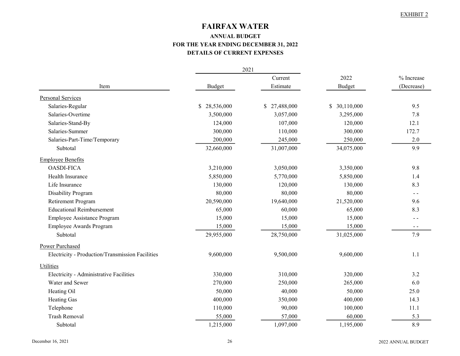# FAIRFAX WATER

# ANNUAL BUDGET FOR THE YEAR ENDING DECEMBER 31, 2022 DETAILS OF CURRENT EXPENSES

|                                                  |               | 2021         |               |            |
|--------------------------------------------------|---------------|--------------|---------------|------------|
|                                                  |               | Current      | 2022          | % Increase |
| Item                                             | <b>Budget</b> | Estimate     | <b>Budget</b> | (Decrease) |
| Personal Services                                |               |              |               |            |
| Salaries-Regular                                 | \$28,536,000  | \$27,488,000 | \$30,110,000  | 9.5        |
| Salaries-Overtime                                | 3,500,000     | 3,057,000    | 3,295,000     | 7.8        |
| Salaries-Stand-By                                | 124,000       | 107,000      | 120,000       | 12.1       |
| Salaries-Summer                                  | 300,000       | 110,000      | 300,000       | 172.7      |
| Salaries-Part-Time/Temporary                     | 200,000       | 245,000      | 250,000       | 2.0        |
| Subtotal                                         | 32,660,000    | 31,007,000   | 34,075,000    | 9.9        |
| <b>Employee Benefits</b>                         |               |              |               |            |
| <b>OASDI-FICA</b>                                | 3,210,000     | 3,050,000    | 3,350,000     | 9.8        |
| Health Insurance                                 | 5,850,000     | 5,770,000    | 5,850,000     | 1.4        |
| Life Insurance                                   | 130,000       | 120,000      | 130,000       | 8.3        |
| Disability Program                               | 80,000        | 80,000       | 80,000        | $ -$       |
| Retirement Program                               | 20,590,000    | 19,640,000   | 21,520,000    | 9.6        |
| <b>Educational Reimbursement</b>                 | 65,000        | 60,000       | 65,000        | 8.3        |
| Employee Assistance Program                      | 15,000        | 15,000       | 15,000        | $ -$       |
| Employee Awards Program                          | 15,000        | 15,000       | 15,000        | $ -$       |
| Subtotal                                         | 29,955,000    | 28,750,000   | 31,025,000    | 7.9        |
| Power Purchased                                  |               |              |               |            |
| Electricity - Production/Transmission Facilities | 9,600,000     | 9,500,000    | 9,600,000     | 1.1        |
| Utilities                                        |               |              |               |            |
| Electricity - Administrative Facilities          | 330,000       | 310,000      | 320,000       | 3.2        |
| Water and Sewer                                  | 270,000       | 250,000      | 265,000       | 6.0        |
| Heating Oil                                      | 50,000        | 40,000       | 50,000        | 25.0       |
| Heating Gas                                      | 400,000       | 350,000      | 400,000       | 14.3       |
| Telephone                                        | 110,000       | 90,000       | 100,000       | 11.1       |
| <b>Trash Removal</b>                             | 55,000        | 57,000       | 60,000        | 5.3        |
| Subtotal                                         | 1,215,000     | 1,097,000    | 1,195,000     | 8.9        |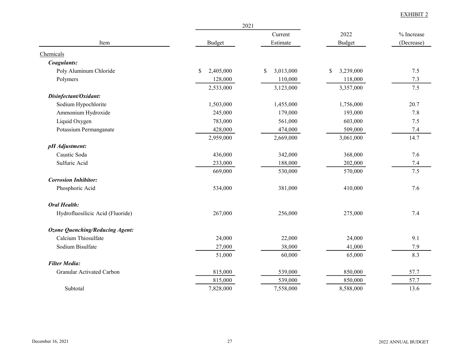|                                        |                 | 2021            |                 |            |
|----------------------------------------|-----------------|-----------------|-----------------|------------|
|                                        |                 | Current         | 2022            | % Increase |
| Item                                   | Budget          | Estimate        | Budget          | (Decrease) |
| Chemicals                              |                 |                 |                 |            |
| Coagulants:                            |                 |                 |                 |            |
| Poly Aluminum Chloride                 | \$<br>2,405,000 | 3,013,000<br>\$ | \$<br>3,239,000 | 7.5        |
| Polymers                               | 128,000         | 110,000         | 118,000         | 7.3        |
|                                        | 2,533,000       | 3,123,000       | 3,357,000       | $7.5$      |
| Disinfectant/Oxidant:                  |                 |                 |                 |            |
| Sodium Hypochlorite                    | 1,503,000       | 1,455,000       | 1,756,000       | 20.7       |
| Ammonium Hydroxide                     | 245,000         | 179,000         | 193,000         | 7.8        |
| Liquid Oxygen                          | 783,000         | 561,000         | 603,000         | 7.5        |
| Potassium Permanganate                 | 428,000         | 474,000         | 509,000         | 7.4        |
|                                        | 2,959,000       | 2,669,000       | 3,061,000       | 14.7       |
| pH Adjustment:                         |                 |                 |                 |            |
| Caustic Soda                           | 436,000         | 342,000         | 368,000         | 7.6        |
| Sulfuric Acid                          | 233,000         | 188,000         | 202,000         | 7.4        |
|                                        | 669,000         | 530,000         | 570,000         | 7.5        |
| <b>Corrosion Inhibitor:</b>            |                 |                 |                 |            |
| Phosphoric Acid                        | 534,000         | 381,000         | 410,000         | 7.6        |
| <b>Oral Health:</b>                    |                 |                 |                 |            |
| Hydrofluosilicic Acid (Fluoride)       | 267,000         | 256,000         | 275,000         | 7.4        |
| <b>Ozone Quenching/Reducing Agent:</b> |                 |                 |                 |            |
| Calcium Thiosulfate                    | 24,000          | 22,000          | 24,000          | 9.1        |
| Sodium Bisulfate                       | 27,000          | 38,000          | 41,000          | 7.9        |
|                                        | 51,000          | 60,000          | 65,000          | 8.3        |
| <b>Filter Media:</b>                   |                 |                 |                 |            |
| Granular Activated Carbon              | 815,000         | 539,000         | 850,000         | 57.7       |
|                                        | 815,000         | 539,000         | 850,000         | 57.7       |
| Subtotal                               | 7,828,000       | 7,558,000       | 8,588,000       | 13.6       |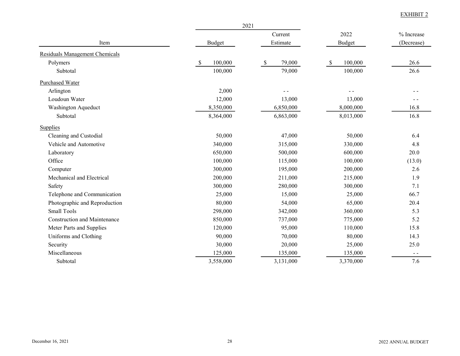|                                     |               | 2021         |                          |            |
|-------------------------------------|---------------|--------------|--------------------------|------------|
|                                     |               | Current      | 2022                     | % Increase |
| Item                                | <b>Budget</b> | Estimate     | <b>Budget</b>            | (Decrease) |
| Residuals Management Chemicals      |               |              |                          |            |
| Polymers                            | \$<br>100,000 | 79,000<br>\$ | 100,000<br><sup>\$</sup> | 26.6       |
| Subtotal                            | 100,000       | 79,000       | 100,000                  | 26.6       |
| Purchased Water                     |               |              |                          |            |
| Arlington                           | 2,000         |              |                          |            |
| Loudoun Water                       | 12,000        | 13,000       | 13,000                   |            |
| Washington Aqueduct                 | 8,350,000     | 6,850,000    | 8,000,000                | 16.8       |
| Subtotal                            | 8,364,000     | 6,863,000    | 8,013,000                | 16.8       |
| <b>Supplies</b>                     |               |              |                          |            |
| Cleaning and Custodial              | 50,000        | 47,000       | 50,000                   | 6.4        |
| Vehicle and Automotive              | 340,000       | 315,000      | 330,000                  | 4.8        |
| Laboratory                          | 650,000       | 500,000      | 600,000                  | 20.0       |
| Office                              | 100,000       | 115,000      | 100,000                  | (13.0)     |
| Computer                            | 300,000       | 195,000      | 200,000                  | 2.6        |
| Mechanical and Electrical           | 200,000       | 211,000      | 215,000                  | 1.9        |
| Safety                              | 300,000       | 280,000      | 300,000                  | 7.1        |
| Telephone and Communication         | 25,000        | 15,000       | 25,000                   | 66.7       |
| Photographic and Reproduction       | 80,000        | 54,000       | 65,000                   | 20.4       |
| <b>Small Tools</b>                  | 298,000       | 342,000      | 360,000                  | 5.3        |
| <b>Construction and Maintenance</b> | 850,000       | 737,000      | 775,000                  | 5.2        |
| Meter Parts and Supplies            | 120,000       | 95,000       | 110,000                  | 15.8       |
| Uniforms and Clothing               | 90,000        | 70,000       | 80,000                   | 14.3       |
| Security                            | 30,000        | 20,000       | 25,000                   | 25.0       |
| Miscellaneous                       | 125,000       | 135,000      | 135,000                  | $ -$       |
| Subtotal                            | 3,558,000     | 3,131,000    | 3,370,000                | 7.6        |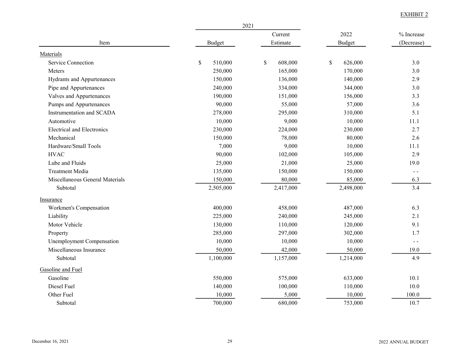|                                   |               | 2021                    |               |               |
|-----------------------------------|---------------|-------------------------|---------------|---------------|
|                                   |               | Current                 | 2022          | % Increase    |
| Item                              | <b>Budget</b> | Estimate                | <b>Budget</b> | (Decrease)    |
| Materials                         |               |                         |               |               |
| <b>Service Connection</b>         | \$<br>510,000 | $\mathbb{S}$<br>608,000 | \$<br>626,000 | 3.0           |
| Meters                            | 250,000       | 165,000                 | 170,000       | 3.0           |
| Hydrants and Appurtenances        | 150,000       | 136,000                 | 140,000       | 2.9           |
| Pipe and Appurtenances            | 240,000       | 334,000                 | 344,000       | 3.0           |
| Valves and Appurtenances          | 190,000       | 151,000                 | 156,000       | 3.3           |
| Pumps and Appurtenances           | 90,000        | 55,000                  | 57,000        | 3.6           |
| Instrumentation and SCADA         | 278,000       | 295,000                 | 310,000       | 5.1           |
| Automotive                        | 10,000        | 9,000                   | 10,000        | 11.1          |
| <b>Electrical and Electronics</b> | 230,000       | 224,000                 | 230,000       | 2.7           |
| Mechanical                        | 150,000       | 78,000                  | 80,000        | 2.6           |
| Hardware/Small Tools              | 7,000         | 9,000                   | 10,000        | 11.1          |
| <b>HVAC</b>                       | 90,000        | 102,000                 | 105,000       | 2.9           |
| Lube and Fluids                   | 25,000        | 21,000                  | 25,000        | 19.0          |
| <b>Treatment Media</b>            | 135,000       | 150,000                 | 150,000       | $\sim$ $\sim$ |
| Miscellaneous General Materials   | 150,000       | 80,000                  | 85,000        | 6.3           |
| Subtotal                          | 2,505,000     | 2,417,000               | 2,498,000     | 3.4           |
| Insurance                         |               |                         |               |               |
| Workmen's Compensation            | 400,000       | 458,000                 | 487,000       | 6.3           |
| Liability                         | 225,000       | 240,000                 | 245,000       | 2.1           |
| Motor Vehicle                     | 130,000       | 110,000                 | 120,000       | 9.1           |
| Property                          | 285,000       | 297,000                 | 302,000       | 1.7           |
| Unemployment Compensation         | 10,000        | 10,000                  | 10,000        | $ -$          |
| Miscellaneous Insurance           | 50,000        | 42,000                  | 50,000        | 19.0          |
| Subtotal                          | 1,100,000     | 1,157,000               | 1,214,000     | 4.9           |
| Gasoline and Fuel                 |               |                         |               |               |
| Gasoline                          | 550,000       | 575,000                 | 633,000       | 10.1          |
| Diesel Fuel                       | 140,000       | 100,000                 | 110,000       | 10.0          |
| Other Fuel                        | 10,000        | 5,000                   | 10,000        | 100.0         |
| Subtotal                          | 700,000       | 680,000                 | 753,000       | 10.7          |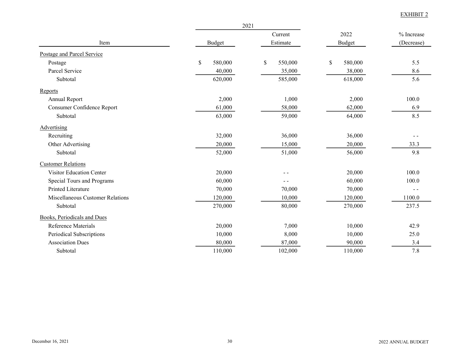|                                  | 2021          |               |               |            |
|----------------------------------|---------------|---------------|---------------|------------|
|                                  |               | Current       | 2022          | % Increase |
| Item                             | Budget        | Estimate      | <b>Budget</b> | (Decrease) |
| Postage and Parcel Service       |               |               |               |            |
| Postage                          | \$<br>580,000 | \$<br>550,000 | \$<br>580,000 | 5.5        |
| Parcel Service                   | 40,000        | 35,000        | 38,000        | 8.6        |
| Subtotal                         | 620,000       | 585,000       | 618,000       | 5.6        |
| Reports                          |               |               |               |            |
| Annual Report                    | 2,000         | 1,000         | 2,000         | 100.0      |
| Consumer Confidence Report       | 61,000        | 58,000        | 62,000        | 6.9        |
| Subtotal                         | 63,000        | 59,000        | 64,000        | 8.5        |
| Advertising                      |               |               |               |            |
| Recruiting                       | 32,000        | 36,000        | 36,000        |            |
| Other Advertising                | 20,000        | 15,000        | 20,000        | 33.3       |
| Subtotal                         | 52,000        | 51,000        | 56,000        | 9.8        |
| <b>Customer Relations</b>        |               |               |               |            |
| Visitor Education Center         | 20,000        | $ -$          | 20,000        | 100.0      |
| Special Tours and Programs       | 60,000        |               | 60,000        | 100.0      |
| <b>Printed Literature</b>        | 70,000        | 70,000        | 70,000        |            |
| Miscellaneous Customer Relations | 120,000       | 10,000        | 120,000       | 1100.0     |
| Subtotal                         | 270,000       | 80,000        | 270,000       | 237.5      |
| Books, Periodicals and Dues      |               |               |               |            |
| Reference Materials              | 20,000        | 7,000         | 10,000        | 42.9       |
| Periodical Subscriptions         | 10,000        | 8,000         | 10,000        | 25.0       |
| <b>Association Dues</b>          | 80,000        | 87,000        | 90,000        | 3.4        |
| Subtotal                         | 110,000       | 102,000       | 110,000       | 7.8        |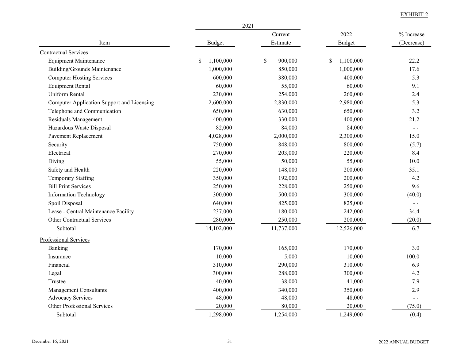|                                            | 2021                       |                         |                 |               |
|--------------------------------------------|----------------------------|-------------------------|-----------------|---------------|
|                                            |                            | Current                 | 2022            | % Increase    |
| Item                                       | <b>Budget</b>              | Estimate                | <b>Budget</b>   | (Decrease)    |
| <b>Contractual Services</b>                |                            |                         |                 |               |
| <b>Equipment Maintenance</b>               | 1,100,000<br><sup>\$</sup> | $\mathbb{S}$<br>900,000 | \$<br>1,100,000 | 22.2          |
| <b>Building/Grounds Maintenance</b>        | 1,000,000                  | 850,000                 | 1,000,000       | 17.6          |
| <b>Computer Hosting Services</b>           | 600,000                    | 380,000                 | 400,000         | 5.3           |
| <b>Equipment Rental</b>                    | 60,000                     | 55,000                  | 60,000          | 9.1           |
| Uniform Rental                             | 230,000                    | 254,000                 | 260,000         | 2.4           |
| Computer Application Support and Licensing | 2,600,000                  | 2,830,000               | 2,980,000       | 5.3           |
| Telephone and Communication                | 650,000                    | 630,000                 | 650,000         | 3.2           |
| Residuals Management                       | 400,000                    | 330,000                 | 400,000         | 21.2          |
| Hazardous Waste Disposal                   | 82,000                     | 84,000                  | 84,000          | $\sim$ $\sim$ |
| Pavement Replacement                       | 4,028,000                  | 2,000,000               | 2,300,000       | 15.0          |
| Security                                   | 750,000                    | 848,000                 | 800,000         | (5.7)         |
| Electrical                                 | 270,000                    | 203,000                 | 220,000         | 8.4           |
| Diving                                     | 55,000                     | 50,000                  | 55,000          | 10.0          |
| Safety and Health                          | 220,000                    | 148,000                 | 200,000         | 35.1          |
| <b>Temporary Staffing</b>                  | 350,000                    | 192,000                 | 200,000         | 4.2           |
| <b>Bill Print Services</b>                 | 250,000                    | 228,000                 | 250,000         | 9.6           |
| <b>Information Technology</b>              | 300,000                    | 500,000                 | 300,000         | (40.0)        |
| Spoil Disposal                             | 640,000                    | 825,000                 | 825,000         | $ -$          |
| Lease - Central Maintenance Facility       | 237,000                    | 180,000                 | 242,000         | 34.4          |
| Other Contractual Services                 | 280,000                    | 250,000                 | 200,000         | (20.0)        |
| Subtotal                                   | 14,102,000                 | 11,737,000              | 12,526,000      | 6.7           |
| Professional Services                      |                            |                         |                 |               |
| Banking                                    | 170,000                    | 165,000                 | 170,000         | 3.0           |
| Insurance                                  | 10,000                     | 5,000                   | 10,000          | 100.0         |
| Financial                                  | 310,000                    | 290,000                 | 310,000         | 6.9           |
| Legal                                      | 300,000                    | 288,000                 | 300,000         | 4.2           |
| Trustee                                    | 40,000                     | 38,000                  | 41,000          | 7.9           |
| Management Consultants                     | 400,000                    | 340,000                 | 350,000         | 2.9           |
| <b>Advocacy Services</b>                   | 48,000                     | 48,000                  | 48,000          | $ -$          |
| Other Professional Services                | 20,000                     | 80,000                  | 20,000          | (75.0)        |
| Subtotal                                   | 1,298,000                  | 1,254,000               | 1,249,000       | (0.4)         |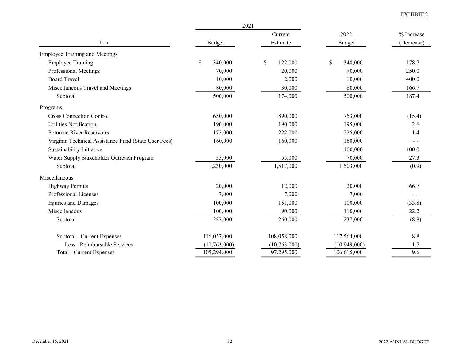|                                                      | 2021           |               |               |            |
|------------------------------------------------------|----------------|---------------|---------------|------------|
|                                                      |                | Current       | 2022          | % Increase |
| Item                                                 | Budget         | Estimate      | <b>Budget</b> | (Decrease) |
| <b>Employee Training and Meetings</b>                |                |               |               |            |
| <b>Employee Training</b>                             | \$<br>340,000  | \$<br>122,000 | \$<br>340,000 | 178.7      |
| Professional Meetings                                | 70,000         | 20,000        | 70,000        | 250.0      |
| <b>Board Travel</b>                                  | 10,000         | 2,000         | 10,000        | 400.0      |
| Miscellaneous Travel and Meetings                    | 80,000         | 30,000        | 80,000        | 166.7      |
| Subtotal                                             | 500,000        | 174,000       | 500,000       | 187.4      |
| Programs                                             |                |               |               |            |
| <b>Cross Connection Control</b>                      | 650,000        | 890,000       | 753,000       | (15.4)     |
| <b>Utilities Notification</b>                        | 190,000        | 190,000       | 195,000       | 2.6        |
| Potomac River Reservoirs                             | 175,000        | 222,000       | 225,000       | 1.4        |
| Virginia Technical Assistance Fund (State User Fees) | 160,000        | 160,000       | 160,000       |            |
| Sustainability Initiative                            | $ -$           |               | 100,000       | 100.0      |
| Water Supply Stakeholder Outreach Program            | 55,000         | 55,000        | 70,000        | 27.3       |
| Subtotal                                             | 1,230,000      | 1,517,000     | 1,503,000     | (0.9)      |
| Miscellaneous                                        |                |               |               |            |
| <b>Highway Permits</b>                               | 20,000         | 12,000        | 20,000        | 66.7       |
| Professional Licenses                                | 7,000          | 7,000         | 7,000         |            |
| Injuries and Damages                                 | 100,000        | 151,000       | 100,000       | (33.8)     |
| Miscellaneous                                        | 100,000        | 90,000        | 110,000       | 22.2       |
| Subtotal                                             | 227,000        | 260,000       | 237,000       | (8.8)      |
| Subtotal - Current Expenses                          | 116,057,000    | 108,058,000   | 117,564,000   | 8.8        |
| Less: Reimbursable Services                          | (10, 763, 000) | (10,763,000)  | (10,949,000)  | 1.7        |
| <b>Total - Current Expenses</b>                      | 105,294,000    | 97,295,000    | 106,615,000   | 9.6        |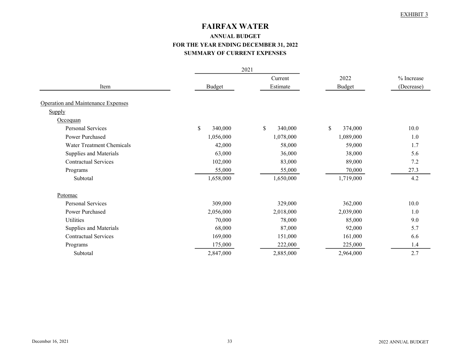# FAIRFAX WATER

# ANNUAL BUDGET FOR THE YEAR ENDING DECEMBER 31, 2022 SUMMARY OF CURRENT EXPENSES

|                                           | 2021          |               |               |            |  |
|-------------------------------------------|---------------|---------------|---------------|------------|--|
|                                           |               | Current       | 2022          | % Increase |  |
| Item                                      | Budget        | Estimate      | <b>Budget</b> | (Decrease) |  |
|                                           |               |               |               |            |  |
| <b>Operation and Maintenance Expenses</b> |               |               |               |            |  |
| Supply                                    |               |               |               |            |  |
| Occoquan                                  |               |               |               |            |  |
| <b>Personal Services</b>                  | \$<br>340,000 | \$<br>340,000 | \$<br>374,000 | 10.0       |  |
| Power Purchased                           | 1,056,000     | 1,078,000     | 1,089,000     | 1.0        |  |
| Water Treatment Chemicals                 | 42,000        | 58,000        | 59,000        | 1.7        |  |
| Supplies and Materials                    | 63,000        | 36,000        | 38,000        | 5.6        |  |
| <b>Contractual Services</b>               | 102,000       | 83,000        | 89,000        | 7.2        |  |
| Programs                                  | 55,000        | 55,000        | 70,000        | 27.3       |  |
| Subtotal                                  | 1,658,000     | 1,650,000     | 1,719,000     | 4.2        |  |
| Potomac                                   |               |               |               |            |  |
| <b>Personal Services</b>                  | 309,000       | 329,000       | 362,000       | 10.0       |  |
| Power Purchased                           | 2,056,000     | 2,018,000     | 2,039,000     | 1.0        |  |
| <b>Utilities</b>                          | 70,000        | 78,000        | 85,000        | 9.0        |  |
| Supplies and Materials                    | 68,000        | 87,000        | 92,000        | 5.7        |  |
| <b>Contractual Services</b>               | 169,000       | 151,000       | 161,000       | 6.6        |  |
| Programs                                  | 175,000       | 222,000       | 225,000       | 1.4        |  |
| Subtotal                                  | 2,847,000     | 2,885,000     | 2,964,000     | 2.7        |  |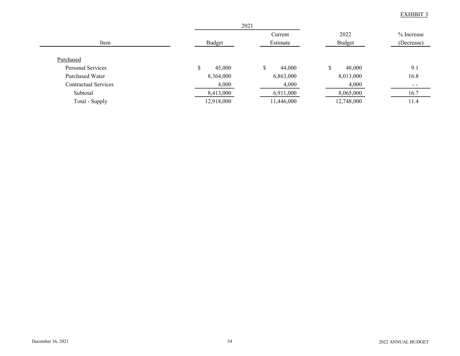|                             |            | 2021       |               |              |
|-----------------------------|------------|------------|---------------|--------------|
|                             |            | Current    | 2022          | $%$ Increase |
| Item                        | Budget     | Estimate   | <b>Budget</b> | (Decrease)   |
| Purchased                   |            |            |               |              |
| Personal Services           | 45,000     | 44,000     | 48,000<br>\$  | 9.1          |
| Purchased Water             | 8,364,000  | 6,863,000  | 8,013,000     | 16.8         |
| <b>Contractual Services</b> | 4,000      | 4,000      | 4,000         | $- -$        |
| Subtotal                    | 8,413,000  | 6,911,000  | 8,065,000     | 16.7         |
| Total - Supply              | 12,918,000 | 11,446,000 | 12,748,000    | 11.4         |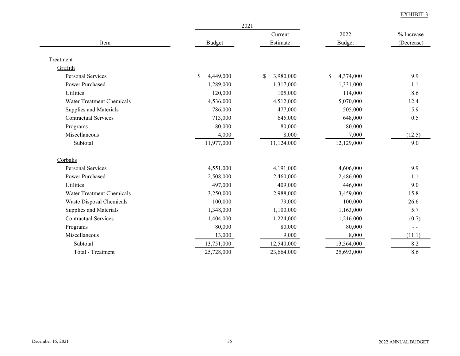|                             |                 | 2021            |                 |               |
|-----------------------------|-----------------|-----------------|-----------------|---------------|
| Item                        |                 | Current         | 2022            | % Increase    |
|                             | <b>Budget</b>   | Estimate        | Budget          | (Decrease)    |
| Treatment                   |                 |                 |                 |               |
| Griffith                    |                 |                 |                 |               |
| <b>Personal Services</b>    | 4,449,000<br>\$ | \$<br>3,980,000 | \$<br>4,374,000 | 9.9           |
| <b>Power Purchased</b>      | 1,289,000       | 1,317,000       | 1,331,000       | 1.1           |
| Utilities                   | 120,000         | 105,000         | 114,000         | 8.6           |
| Water Treatment Chemicals   | 4,536,000       | 4,512,000       | 5,070,000       | 12.4          |
| Supplies and Materials      | 786,000         | 477,000         | 505,000         | 5.9           |
| <b>Contractual Services</b> | 713,000         | 645,000         | 648,000         | 0.5           |
| Programs                    | 80,000          | 80,000          | 80,000          | $\sim$ $\sim$ |
| Miscellaneous               | 4,000           | 8,000           | 7,000           | (12.5)        |
| Subtotal                    | 11,977,000      | 11,124,000      | 12,129,000      | 9.0           |
| Corbalis                    |                 |                 |                 |               |
| <b>Personal Services</b>    | 4,551,000       | 4,191,000       | 4,606,000       | 9.9           |
| <b>Power Purchased</b>      | 2,508,000       | 2,460,000       | 2,486,000       | 1.1           |
| <b>Utilities</b>            | 497,000         | 409,000         | 446,000         | 9.0           |
| Water Treatment Chemicals   | 3,250,000       | 2,988,000       | 3,459,000       | 15.8          |
| Waste Disposal Chemicals    | 100,000         | 79,000          | 100,000         | 26.6          |
| Supplies and Materials      | 1,348,000       | 1,100,000       | 1,163,000       | 5.7           |
| <b>Contractual Services</b> | 1,404,000       | 1,224,000       | 1,216,000       | (0.7)         |
| Programs                    | 80,000          | 80,000          | 80,000          | $ -$          |
| Miscellaneous               | 13,000          | 9,000           | 8,000           | (11.1)        |
| Subtotal                    | 13,751,000      | 12,540,000      | 13,564,000      | 8.2           |
| Total - Treatment           | 25,728,000      | 23,664,000      | 25,693,000      | 8.6           |
|                             |                 |                 |                 |               |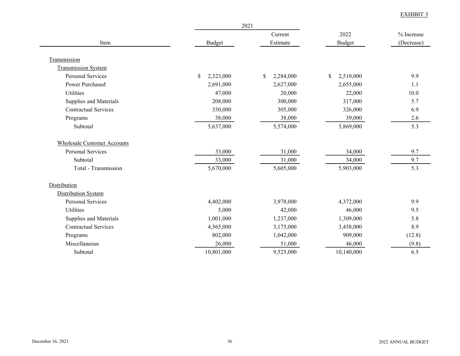|                                    |                 | 2021            |                   |            |
|------------------------------------|-----------------|-----------------|-------------------|------------|
|                                    |                 | Current         | 2022              | % Increase |
| Item                               | <b>Budget</b>   | Estimate        | Budget            | (Decrease) |
| Transmission                       |                 |                 |                   |            |
| <b>Transmission System</b>         |                 |                 |                   |            |
| <b>Personal Services</b>           | \$<br>2,323,000 | \$<br>2,284,000 | $\$$<br>2,510,000 | 9.9        |
| Power Purchased                    | 2,691,000       | 2,627,000       | 2,655,000         | 1.1        |
| Utilities                          | 47,000          | 20,000          | 22,000            | 10.0       |
| Supplies and Materials             | 208,000         | 300,000         | 317,000           | 5.7        |
| <b>Contractual Services</b>        | 330,000         | 305,000         | 326,000           | 6.9        |
| Programs                           | 38,000          | 38,000          | 39,000            | 2.6        |
| Subtotal                           | 5,637,000       | 5,574,000       | 5,869,000         | 5.3        |
| <b>Wholesale Customer Accounts</b> |                 |                 |                   |            |
| <b>Personal Services</b>           | 33,000          | 31,000          | 34,000            | 9.7        |
| Subtotal                           | 33,000          | 31,000          | 34,000            | 9.7        |
| Total - Transmission               | 5,670,000       | 5,605,000       | 5,903,000         | 5.3        |
| Distribution                       |                 |                 |                   |            |
| Distribution System                |                 |                 |                   |            |
| <b>Personal Services</b>           | 4,402,000       | 3,978,000       | 4,372,000         | 9.9        |
| <b>Utilities</b>                   | 5,000           | 42,000          | 46,000            | 9.5        |
| Supplies and Materials             | 1,001,000       | 1,237,000       | 1,309,000         | 5.8        |
| <b>Contractual Services</b>        | 4,565,000       | 3,175,000       | 3,458,000         | 8.9        |
| Programs                           | 802,000         | 1,042,000       | 909,000           | (12.8)     |
| Miscellaneous                      | 26,000          | 51,000          | 46,000            | (9.8)      |
| Subtotal                           | 10,801,000      | 9,525,000       | 10,140,000        | 6.5        |
|                                    |                 |                 |                   |            |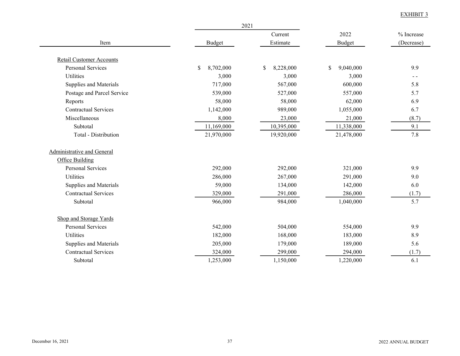|                                 | 2021            |                 |                 |            |
|---------------------------------|-----------------|-----------------|-----------------|------------|
| Item                            |                 | Current         | 2022            | % Increase |
|                                 | <b>Budget</b>   | Estimate        | <b>Budget</b>   | (Decrease) |
| <b>Retail Customer Accounts</b> |                 |                 |                 |            |
| <b>Personal Services</b>        | \$<br>8,702,000 | \$<br>8,228,000 | \$<br>9,040,000 | 9.9        |
| Utilities                       | 3,000           | 3,000           | 3,000           |            |
| Supplies and Materials          | 717,000         | 567,000         | 600,000         | 5.8        |
| Postage and Parcel Service      | 539,000         | 527,000         | 557,000         | 5.7        |
| Reports                         | 58,000          | 58,000          | 62,000          | 6.9        |
| <b>Contractual Services</b>     | 1,142,000       | 989,000         | 1,055,000       | 6.7        |
| Miscellaneous                   | 8,000           | 23,000          | 21,000          | (8.7)      |
| Subtotal                        | 11,169,000      | 10,395,000      | 11,338,000      | 9.1        |
| Total - Distribution            | 21,970,000      | 19,920,000      | 21,478,000      | 7.8        |
| Administrative and General      |                 |                 |                 |            |
| <b>Office Building</b>          |                 |                 |                 |            |
| <b>Personal Services</b>        | 292,000         | 292,000         | 321,000         | 9.9        |
| <b>Utilities</b>                | 286,000         | 267,000         | 291,000         | 9.0        |
| Supplies and Materials          | 59,000          | 134,000         | 142,000         | 6.0        |
| <b>Contractual Services</b>     | 329,000         | 291,000         | 286,000         | (1.7)      |
| Subtotal                        | 966,000         | 984,000         | 1,040,000       | 5.7        |
| Shop and Storage Yards          |                 |                 |                 |            |
| <b>Personal Services</b>        | 542,000         | 504,000         | 554,000         | 9.9        |
| <b>Utilities</b>                | 182,000         | 168,000         | 183,000         | 8.9        |
| Supplies and Materials          | 205,000         | 179,000         | 189,000         | 5.6        |
| <b>Contractual Services</b>     | 324,000         | 299,000         | 294,000         | (1.7)      |
| Subtotal                        | 1,253,000       | 1,150,000       | 1,220,000       | 6.1        |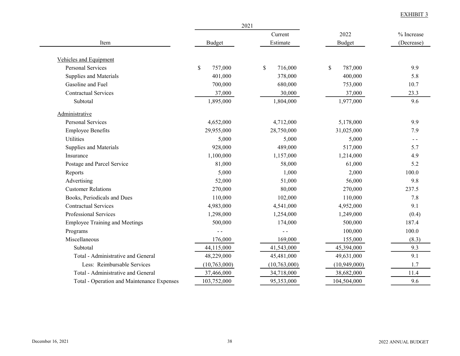|                                            | 2021           |               |               |               |
|--------------------------------------------|----------------|---------------|---------------|---------------|
|                                            |                | Current       | 2022          | % Increase    |
| Item                                       | <b>Budget</b>  | Estimate      | <b>Budget</b> | (Decrease)    |
| <b>Vehicles and Equipment</b>              |                |               |               |               |
| <b>Personal Services</b>                   | \$<br>757,000  | \$<br>716,000 | \$<br>787,000 | 9.9           |
| Supplies and Materials                     | 401,000        | 378,000       | 400,000       | 5.8           |
| Gasoline and Fuel                          | 700,000        | 680,000       | 753,000       | 10.7          |
| <b>Contractual Services</b>                | 37,000         | 30,000        | 37,000        | 23.3          |
| Subtotal                                   | 1,895,000      | 1,804,000     | 1,977,000     | 9.6           |
| Administrative                             |                |               |               |               |
| <b>Personal Services</b>                   | 4,652,000      | 4,712,000     | 5,178,000     | 9.9           |
| <b>Employee Benefits</b>                   | 29,955,000     | 28,750,000    | 31,025,000    | 7.9           |
| <b>Utilities</b>                           | 5,000          | 5,000         | 5,000         | $\sim$ $\sim$ |
| Supplies and Materials                     | 928,000        | 489,000       | 517,000       | 5.7           |
| Insurance                                  | 1,100,000      | 1,157,000     | 1,214,000     | 4.9           |
| Postage and Parcel Service                 | 81,000         | 58,000        | 61,000        | 5.2           |
| Reports                                    | 5,000          | 1,000         | 2,000         | 100.0         |
| Advertising                                | 52,000         | 51,000        | 56,000        | 9.8           |
| <b>Customer Relations</b>                  | 270,000        | 80,000        | 270,000       | 237.5         |
| Books, Periodicals and Dues                | 110,000        | 102,000       | 110,000       | 7.8           |
| <b>Contractual Services</b>                | 4,983,000      | 4,541,000     | 4,952,000     | 9.1           |
| Professional Services                      | 1,298,000      | 1,254,000     | 1,249,000     | (0.4)         |
| <b>Employee Training and Meetings</b>      | 500,000        | 174,000       | 500,000       | 187.4         |
| Programs                                   |                | $\sim$ $\sim$ | 100,000       | 100.0         |
| Miscellaneous                              | 176,000        | 169,000       | 155,000       | (8.3)         |
| Subtotal                                   | 44,115,000     | 41,543,000    | 45,394,000    | 9.3           |
| Total - Administrative and General         | 48,229,000     | 45,481,000    | 49,631,000    | 9.1           |
| Less: Reimbursable Services                | (10, 763, 000) | (10,763,000)  | (10,949,000)  | 1.7           |
| Total - Administrative and General         | 37,466,000     | 34,718,000    | 38,682,000    | 11.4          |
| Total - Operation and Maintenance Expenses | 103,752,000    | 95,353,000    | 104,504,000   | 9.6           |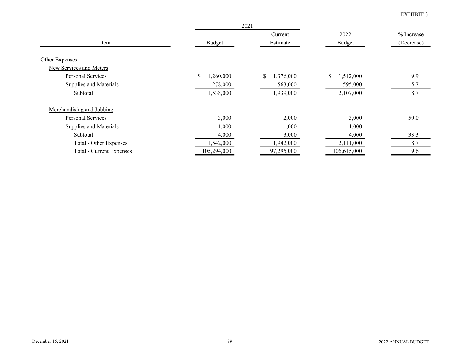|                                           | 2021           |                 |                 |            |
|-------------------------------------------|----------------|-----------------|-----------------|------------|
|                                           |                | Current         | 2022            | % Increase |
| Item                                      | Budget         | Estimate        | Budget          | (Decrease) |
| Other Expenses<br>New Services and Meters |                |                 |                 |            |
| Personal Services                         | \$<br>,260,000 | 1,376,000<br>\$ | \$<br>1,512,000 | 9.9        |
| Supplies and Materials                    | 278,000        | 563,000         | 595,000         | 5.7        |
| Subtotal                                  | 1,538,000      | 1,939,000       | 2,107,000       | 8.7        |
| Merchandising and Jobbing                 |                |                 |                 |            |
| Personal Services                         | 3,000          | 2,000           | 3,000           | 50.0       |
| Supplies and Materials                    | 1,000          | 1,000           | 1,000           | $ -$       |
| Subtotal                                  | 4,000          | 3,000           | 4,000           | 33.3       |
| Total - Other Expenses                    | 1,542,000      | 1,942,000       | 2,111,000       | 8.7        |
| <b>Total - Current Expenses</b>           | 105,294,000    | 97,295,000      | 106,615,000     | 9.6        |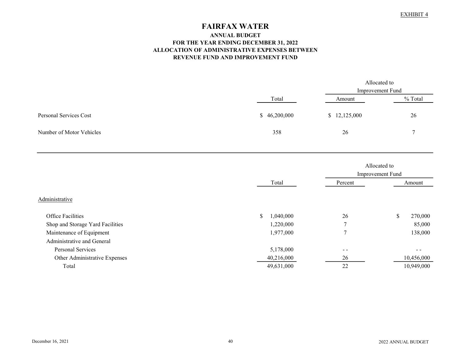# FAIRFAX WATER

#### ANNUAL BUDGET FOR THE YEAR ENDING DECEMBER 31, 2022 ALLOCATION OF ADMINISTRATIVE EXPENSES BETWEEN REVENUE FUND AND IMPROVEMENT FUND

|                          |                  | Allocated to |         |  |
|--------------------------|------------------|--------------|---------|--|
|                          | Improvement Fund |              |         |  |
|                          | Total            | Amount       | % Total |  |
| Personal Services Cost   | \$46,200,000     | \$12,125,000 | 26      |  |
| Number of Motor Vehicles | 358              | 26           |         |  |

|                                  |                 |                | Allocated to<br>Improvement Fund |
|----------------------------------|-----------------|----------------|----------------------------------|
|                                  | Total           | Percent        | Amount                           |
| Administrative                   |                 |                |                                  |
| <b>Office Facilities</b>         | \$<br>1,040,000 | 26             | 270,000<br>\$                    |
| Shop and Storage Yard Facilities | 1,220,000       | $\mathbf{r}$   | 85,000                           |
| Maintenance of Equipment         | 1,977,000       | $\overline{ }$ | 138,000                          |
| Administrative and General       |                 |                |                                  |
| Personal Services                | 5,178,000       | $ -$           |                                  |
| Other Administrative Expenses    | 40,216,000      | 26             | 10,456,000                       |
| Total                            | 49,631,000      | 22             | 10,949,000                       |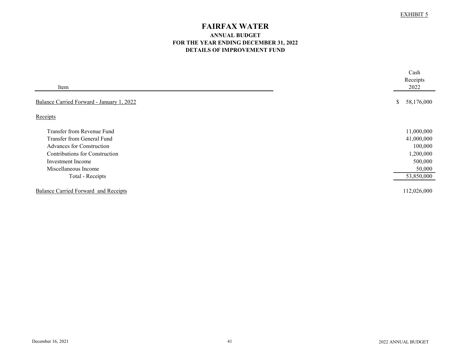# FAIRFAX WATER

### ANNUAL BUDGET FOR THE YEAR ENDING DECEMBER 31, 2022 DETAILS OF IMPROVEMENT FUND

| Item                                      | Cash<br>Receipts<br>2022 |
|-------------------------------------------|--------------------------|
| Balance Carried Forward - January 1, 2022 | \$<br>58,176,000         |
| Receipts                                  |                          |
| Transfer from Revenue Fund                | 11,000,000               |
| Transfer from General Fund                | 41,000,000               |
| Advances for Construction                 | 100,000                  |
| Contributions for Construction            | 1,200,000                |
| Investment Income                         | 500,000                  |
| Miscellaneous Income                      | 50,000                   |
| Total - Receipts                          | 53,850,000               |
| Balance Carried Forward and Receipts      | 112,026,000              |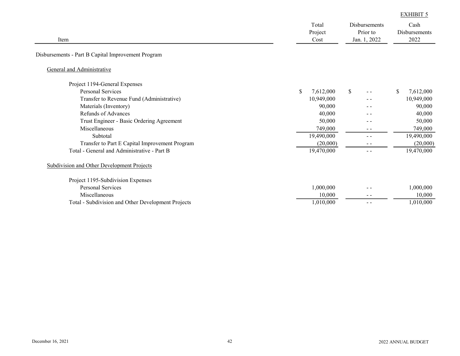|                                                    |                          |            |                                                  |               |                               | <b>EXHIBIT 5</b> |
|----------------------------------------------------|--------------------------|------------|--------------------------------------------------|---------------|-------------------------------|------------------|
| Item                                               | Total<br>Project<br>Cost |            | <b>Disbursements</b><br>Prior to<br>Jan. 1, 2022 |               | Cash<br>Disbursements<br>2022 |                  |
| Disbursements - Part B Capital Improvement Program |                          |            |                                                  |               |                               |                  |
| General and Administrative                         |                          |            |                                                  |               |                               |                  |
| Project 1194-General Expenses                      |                          |            |                                                  |               |                               |                  |
| <b>Personal Services</b>                           | \$                       | 7,612,000  | <sup>\$</sup>                                    |               | \$                            | 7,612,000        |
| Transfer to Revenue Fund (Administrative)          |                          | 10,949,000 |                                                  |               |                               | 10,949,000       |
| Materials (Inventory)                              |                          | 90,000     |                                                  | - -           |                               | 90,000           |
| Refunds of Advances                                |                          | 40,000     |                                                  | $ -$          |                               | 40,000           |
| Trust Engineer - Basic Ordering Agreement          |                          | 50,000     |                                                  | - -           |                               | 50,000           |
| Miscellaneous                                      |                          | 749,000    |                                                  | $\frac{1}{2}$ |                               | 749,000          |
| Subtotal                                           |                          | 19,490,000 |                                                  | $\sim$ $\sim$ |                               | 19,490,000       |
| Transfer to Part E Capital Improvement Program     |                          | (20,000)   |                                                  | $ -$          |                               | (20,000)         |
| Total - General and Administrative - Part B        |                          | 19,470,000 |                                                  | $\sim$ $\sim$ |                               | 19,470,000       |
| <b>Subdivision and Other Development Projects</b>  |                          |            |                                                  |               |                               |                  |
| Project 1195-Subdivision Expenses                  |                          |            |                                                  |               |                               |                  |
| <b>Personal Services</b>                           |                          | 1,000,000  |                                                  | $ -$          |                               | 1,000,000        |
| Miscellaneous                                      |                          | 10,000     |                                                  | $\frac{1}{2}$ |                               | 10,000           |
| Total - Subdivision and Other Development Projects |                          | 1,010,000  |                                                  | $\frac{1}{2}$ |                               | 1,010,000        |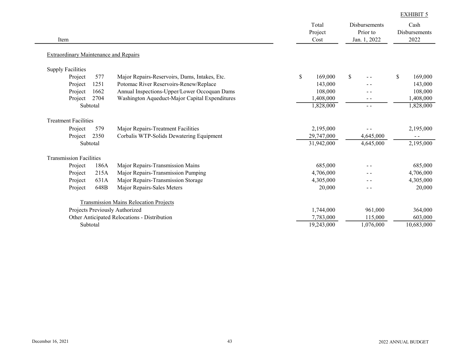|                                              |          |                                                | Total<br>Project | Disbursements<br>Prior to | Cash<br><b>Disbursements</b> |
|----------------------------------------------|----------|------------------------------------------------|------------------|---------------------------|------------------------------|
| Item                                         |          |                                                | Cost             | Jan. 1, 2022              | 2022                         |
| <b>Extraordinary Maintenance and Repairs</b> |          |                                                |                  |                           |                              |
| <b>Supply Facilities</b>                     |          |                                                |                  |                           |                              |
| Project                                      | 577      | Major Repairs-Reservoirs, Dams, Intakes, Etc.  | \$<br>169,000    | $\mathcal{S}$             | \$<br>169,000                |
| Project                                      | 1251     | Potomac River Reservoirs-Renew/Replace         | 143,000          |                           | 143,000                      |
| Project                                      | 1662     | Annual Inspections-Upper/Lower Occoquan Dams   | 108,000          |                           | 108,000                      |
| Project                                      | 2704     | Washington Aqueduct-Major Capital Expenditures | 1,408,000        | - -                       | 1,408,000                    |
|                                              | Subtotal |                                                | 1,828,000        | $\frac{1}{2}$             | 1,828,000                    |
| <b>Treatment Facilities</b>                  |          |                                                |                  |                           |                              |
| Project                                      | 579      | Major Repairs-Treatment Facilities             | 2,195,000        |                           | 2,195,000                    |
| Project                                      | 2350     | Corbalis WTP-Solids Dewatering Equipment       | 29,747,000       | 4,645,000                 |                              |
|                                              | Subtotal |                                                | 31,942,000       | 4,645,000                 | 2,195,000                    |
| <b>Transmission Facilities</b>               |          |                                                |                  |                           |                              |
| Project                                      | 186A     | Major Repairs-Transmission Mains               | 685,000          |                           | 685,000                      |
| Project                                      | 215A     | Major Repairs-Transmission Pumping             | 4,706,000        |                           | 4,706,000                    |
| Project                                      | 631A     | Major Repairs-Transmission Storage             | 4,305,000        |                           | 4,305,000                    |
| Project                                      | 648B     | Major Repairs-Sales Meters                     | 20,000           | $ -$                      | 20,000                       |
|                                              |          | <b>Transmission Mains Relocation Projects</b>  |                  |                           |                              |
|                                              |          | Projects Previously Authorized                 | 1,744,000        | 961,000                   | 364,000                      |
|                                              |          | Other Anticipated Relocations - Distribution   | 7,783,000        | 115,000                   | 603,000                      |
|                                              | Subtotal |                                                | 19,243,000       | 1,076,000                 | 10,683,000                   |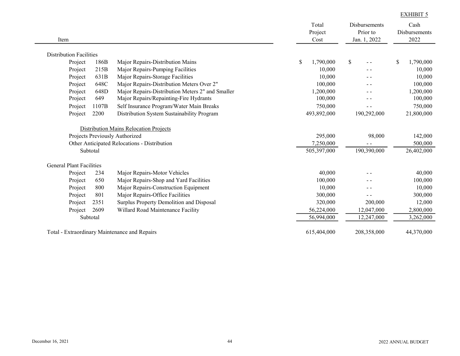| Item                            |          |                                                                                                                          | Total<br>Project<br>Cost            | Disbursements<br>Prior to<br>Jan. 1, 2022 | Cash<br>Disbursements<br>2022    |
|---------------------------------|----------|--------------------------------------------------------------------------------------------------------------------------|-------------------------------------|-------------------------------------------|----------------------------------|
| <b>Distribution Facilities</b>  |          |                                                                                                                          |                                     |                                           |                                  |
| Project                         | 186B     | Major Repairs-Distribution Mains                                                                                         | \$<br>1,790,000                     | $\mathbb{S}$<br>$\frac{1}{2}$             | \$<br>1,790,000                  |
| Project                         | 215B     | Major Repairs-Pumping Facilities                                                                                         | 10,000                              |                                           | 10,000                           |
| Project                         | 631B     | Major Repairs-Storage Facilities                                                                                         | 10,000                              | - -                                       | 10,000                           |
| Project                         | 648C     | Major Repairs-Distribution Meters Over 2"                                                                                | 100,000                             | - -                                       | 100,000                          |
| Project                         | 648D     | Major Repairs-Distribution Meters 2" and Smaller                                                                         | 1,200,000                           |                                           | 1,200,000                        |
| Project                         | 649      | Major Repairs/Repainting-Fire Hydrants                                                                                   | 100,000                             |                                           | 100,000                          |
| Project                         | 1107B    | Self Insurance Program/Water Main Breaks                                                                                 | 750,000                             | - -                                       | 750,000                          |
| Project                         | 2200     | Distribution System Sustainability Program                                                                               | 493,892,000                         | 190,292,000                               | 21,800,000                       |
|                                 | Subtotal | Distribution Mains Relocation Projects<br>Projects Previously Authorized<br>Other Anticipated Relocations - Distribution | 295,000<br>7,250,000<br>505,397,000 | 98,000<br>190,390,000                     | 142,000<br>500,000<br>26,402,000 |
| <b>General Plant Facilities</b> |          |                                                                                                                          |                                     |                                           |                                  |
| Project                         | 234      | Major Repairs-Motor Vehicles                                                                                             | 40,000                              |                                           | 40,000                           |
| Project                         | 650      | Major Repairs-Shop and Yard Facilities                                                                                   | 100,000                             |                                           | 100,000                          |
| Project                         | 800      | Major Repairs-Construction Equipment                                                                                     | 10,000                              | - -                                       | 10,000                           |
| Project                         | 801      | Major Repairs-Office Facilities                                                                                          | 300,000                             | $ -$                                      | 300,000                          |
| Project                         | 2351     | Surplus Property Demolition and Disposal                                                                                 | 320,000                             | 200,000                                   | 12,000                           |
| Project                         | 2609     | Willard Road Maintenance Facility                                                                                        | 56,224,000                          | 12,047,000                                | 2,800,000                        |
|                                 | Subtotal |                                                                                                                          | 56,994,000                          | 12,247,000                                | 3,262,000                        |
|                                 |          | Total - Extraordinary Maintenance and Repairs                                                                            | 615,404,000                         | 208,358,000                               | 44,370,000                       |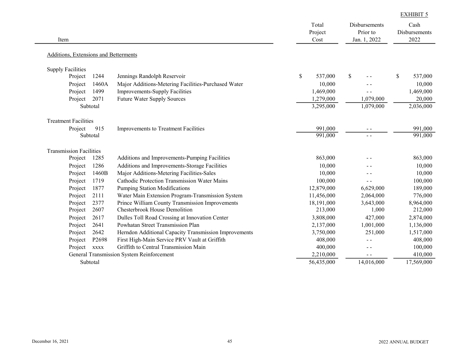| Additions, Extensions and Betterments<br><b>Supply Facilities</b>        |               |                |               |
|--------------------------------------------------------------------------|---------------|----------------|---------------|
|                                                                          |               |                |               |
|                                                                          |               |                |               |
| 1244<br>Project<br>Jennings Randolph Reservoir                           | \$<br>537,000 | <sup>\$</sup>  | \$<br>537,000 |
| 1460A<br>Project<br>Major Additions-Metering Facilities-Purchased Water  | 10,000        |                | 10,000        |
| 1499<br><b>Improvements-Supply Facilities</b><br>Project                 | 1,469,000     | $ -$           | 1,469,000     |
| 2071<br>Future Water Supply Sources<br>Project                           | 1,279,000     | 1,079,000      | 20,000        |
| Subtotal                                                                 | 3,295,000     | 1,079,000      | 2,036,000     |
| <b>Treatment Facilities</b>                                              |               |                |               |
| 915<br>Improvements to Treatment Facilities<br>Project                   | 991,000       |                | 991,000       |
| Subtotal                                                                 | 991,000       | $\overline{a}$ | 991,000       |
| <b>Transmission Facilities</b>                                           |               |                |               |
| Additions and Improvements-Pumping Facilities<br>Project<br>1285         | 863,000       |                | 863,000       |
| Project<br>1286<br>Additions and Improvements-Storage Facilities         | 10,000        | $ -$           | 10,000        |
| Major Additions-Metering Facilities-Sales<br>1460B<br>Project            | 10,000        |                | 10,000        |
| Cathodic Protection Transmission Water Mains<br>Project<br>1719          | 100,000       | $ -$           | 100,000       |
| 1877<br>Project<br><b>Pumping Station Modifications</b>                  | 12,879,000    | 6,629,000      | 189,000       |
| Project<br>2111<br>Water Main Extension Program-Transmission System      | 11,456,000    | 2,064,000      | 776,000       |
| 2377<br>Prince William County Transmission Improvements<br>Project       | 18,191,000    | 3,643,000      | 8,964,000     |
| <b>Chesterbrook House Demolition</b><br>2607<br>Project                  | 213,000       | 1,000          | 212,000       |
| Project<br>2617<br>Dulles Toll Road Crossing at Innovation Center        | 3,808,000     | 427,000        | 2,874,000     |
| 2641<br>Powhatan Street Transmission Plan<br>Project                     | 2,137,000     | 1,001,000      | 1,136,000     |
| 2642<br>Herndon Additional Capacity Transmission Improvements<br>Project | 3,750,000     | 251,000        | 1,517,000     |
| First High-Main Service PRV Vault at Griffith<br>Project<br>P2698        | 408,000       | $ -$           | 408,000       |
| Project<br>Griffith to Central Transmission Main<br><b>XXXX</b>          | 400,000       | $ -$           | 100,000       |
| General Transmission System Reinforcement                                | 2,210,000     | $ -$           | 410,000       |
| Subtotal                                                                 | 56,435,000    | 14,016,000     | 17,569,000    |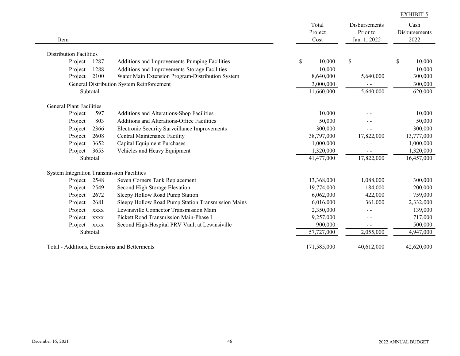| Item                                              |             |                                                    | Total<br>Project<br>Cost |              | Disbursements<br>Prior to<br>Jan. 1, 2022 | Cash<br>Disbursements<br>2022 |
|---------------------------------------------------|-------------|----------------------------------------------------|--------------------------|--------------|-------------------------------------------|-------------------------------|
| <b>Distribution Facilities</b>                    |             |                                                    |                          |              |                                           |                               |
| Project                                           | 1287        | Additions and Improvements-Pumping Facilities      | \$<br>10,000             | $\mathbb{S}$ |                                           | \$<br>10,000                  |
| Project                                           | 1288        | Additions and Improvements-Storage Facilities      | 10,000                   |              |                                           | 10,000                        |
| Project                                           | 2100        | Water Main Extension Program-Distribution System   | 8,640,000                |              | 5,640,000                                 | 300,000                       |
|                                                   |             | General Distribution System Reinforcement          | 3,000,000                |              | $\overline{a}$                            | 300,000                       |
|                                                   | Subtotal    |                                                    | 11,660,000               |              | 5,640,000                                 | 620,000                       |
| <b>General Plant Facilities</b>                   |             |                                                    |                          |              |                                           |                               |
| Project                                           | 597         | Additions and Alterations-Shop Facilities          | 10,000                   |              |                                           | 10,000                        |
| Project                                           | 803         | Additions and Alterations-Office Facilities        | 50,000                   |              |                                           | 50,000                        |
| Project                                           | 2366        | Electronic Security Surveillance Improvements      | 300,000                  |              |                                           | 300,000                       |
| Project                                           | 2608        | Central Maintenance Facility                       | 38,797,000               |              | 17,822,000                                | 13,777,000                    |
| Project                                           | 3652        | Capital Equipment Purchases                        | 1,000,000                |              | $- -$                                     | 1,000,000                     |
| Project                                           | 3653        | Vehicles and Heavy Equipment                       | 1,320,000                |              | $ -$                                      | 1,320,000                     |
|                                                   | Subtotal    |                                                    | 41,477,000               |              | 17,822,000                                | 16,457,000                    |
| <b>System Integration Transmission Facilities</b> |             |                                                    |                          |              |                                           |                               |
| Project                                           | 2548        | Seven Corners Tank Replacement                     | 13,368,000               |              | 1,088,000                                 | 300,000                       |
| Project                                           | 2549        | Second High Storage Elevation                      | 19,774,000               |              | 184,000                                   | 200,000                       |
| Project                                           | 2672        | Sleepy Hollow Road Pump Station                    | 6,062,000                |              | 422,000                                   | 759,000                       |
| Project                                           | 2681        | Sleepy Hollow Road Pump Station Transmission Mains | 6,016,000                |              | 361,000                                   | 2,332,000                     |
| Project                                           | <b>XXXX</b> | Lewinsville Connector Transmission Main            | 2,350,000                |              | $ -$                                      | 139,000                       |
| Project                                           | <b>XXXX</b> | Pickett Road Transmission Main-Phase I             | 9,257,000                |              | $ -$                                      | 717,000                       |
| Project                                           | <b>XXXX</b> | Second High-Hospital PRV Vault at Lewinsiville     | 900,000                  |              | $\sim$ $\sim$                             | 500,000                       |
|                                                   | Subtotal    |                                                    | 57,727,000               |              | 2,055,000                                 | 4,947,000                     |
|                                                   |             | Total - Additions, Extensions and Betterments      | 171,585,000              |              | 40,612,000                                | 42,620,000                    |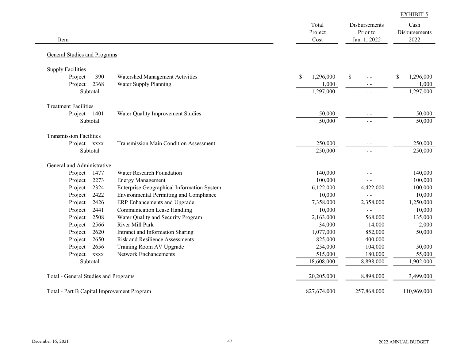| Item                                 |             |                                                | Total<br>Project<br>Cost | Disbursements<br>Prior to<br>Jan. 1, 2022 | Cash<br>Disbursements<br>2022 |
|--------------------------------------|-------------|------------------------------------------------|--------------------------|-------------------------------------------|-------------------------------|
| General Studies and Programs         |             |                                                |                          |                                           |                               |
| <b>Supply Facilities</b>             |             |                                                |                          |                                           |                               |
| Project                              | 390         | Watershed Management Activities                | \$<br>1,296,000          | \$<br>$\overline{a}$ $\overline{a}$       | \$<br>1,296,000               |
| Project                              | 2368        | Water Supply Planning                          | 1,000                    | $\sim$ $\sim$                             | 1,000                         |
|                                      | Subtotal    |                                                | 1,297,000                | $\sim$ $\sim$                             | 1,297,000                     |
| <b>Treatment Facilities</b>          |             |                                                |                          |                                           |                               |
| Project 1401                         |             | Water Quality Improvement Studies              | 50,000                   | $\sim$ $\sim$                             | 50,000                        |
|                                      | Subtotal    |                                                | 50,000                   | $ -$                                      | 50,000                        |
| <b>Transmission Facilities</b>       |             |                                                |                          |                                           |                               |
| Project xxxx                         |             | <b>Transmission Main Condition Assessment</b>  | 250,000                  | $\sim$ $\sim$                             | 250,000                       |
|                                      | Subtotal    |                                                | 250,000                  | $\sim$ $\sim$                             | 250,000                       |
| General and Administrative           |             |                                                |                          |                                           |                               |
| Project                              | 1477        | Water Research Foundation                      | 140,000                  |                                           | 140,000                       |
| Project                              | 2273        | <b>Energy Management</b>                       | 100,000                  | $\sim$ $\sim$                             | 100,000                       |
| Project                              | 2324        | Enterprise Geographical Information System     | 6,122,000                | 4,422,000                                 | 100,000                       |
| Project                              | 2422        | <b>Environmental Permitting and Compliance</b> | 10,000                   | $\overline{a}$ $\overline{a}$             | 10,000                        |
| Project                              | 2426        | ERP Enhancements and Upgrade                   | 7,358,000                | 2,358,000                                 | 1,250,000                     |
| Project                              | 2441        | <b>Communication Lease Handling</b>            | 10,000                   | $\overline{a}$                            | 10,000                        |
| Project                              | 2508        | Water Quality and Security Program             | 2,163,000                | 568,000                                   | 135,000                       |
| Project                              | 2566        | River Mill Park                                | 34,000                   | 14,000                                    | 2,000                         |
| Project                              | 2620        | Intranet and Information Sharing               | 1,077,000                | 852,000                                   | 50,000                        |
| Project                              | 2650        | <b>Risk and Resilience Assessments</b>         | 825,000                  | 400,000                                   | $ -$                          |
| Project                              | 2656        | Training Room AV Upgrade                       | 254,000                  | 104,000                                   | 50,000                        |
| Project                              | <b>XXXX</b> | <b>Network Enchancements</b>                   | 515,000                  | 180,000                                   | 55,000                        |
|                                      | Subtotal    |                                                | 18,608,000               | 8,898,000                                 | 1,902,000                     |
| Total - General Studies and Programs |             |                                                | 20,205,000               | 8,898,000                                 | 3,499,000                     |
|                                      |             | Total - Part B Capital Improvement Program     | 827,674,000              | 257,868,000                               | 110,969,000                   |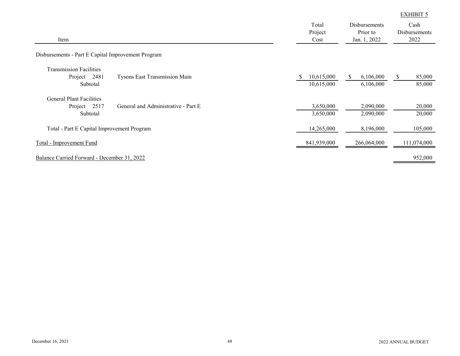| Item                                                                                               | Total<br>Project<br>Cost      | Disbursements<br>Prior to<br>Jan. 1, 2022 | Cash<br>Disbursements<br>2022     |  |
|----------------------------------------------------------------------------------------------------|-------------------------------|-------------------------------------------|-----------------------------------|--|
| Disbursements - Part E Capital Improvement Program                                                 |                               |                                           |                                   |  |
| <b>Transmission Facilities</b><br>Tysons East Transmission Main<br>Project 2481<br>Subtotal        | 10,615,000<br>S<br>10,615,000 | 6,106,000<br><sup>S</sup><br>6,106,000    | 85,000<br><sup>\$</sup><br>85,000 |  |
| <b>General Plant Facilities</b><br>General and Administrative - Part E<br>Project 2517<br>Subtotal | 3,650,000<br>3,650,000        | 2,090,000<br>2,090,000                    | 20,000<br>20,000                  |  |
| Total - Part E Capital Improvement Program                                                         | 14,265,000                    | 8,196,000                                 | 105,000                           |  |
| <b>Total - Improvement Fund</b>                                                                    | 841,939,000                   | 266,064,000                               | 111,074,000                       |  |
| Balance Carried Forward - December 31, 2022                                                        |                               |                                           | 952,000                           |  |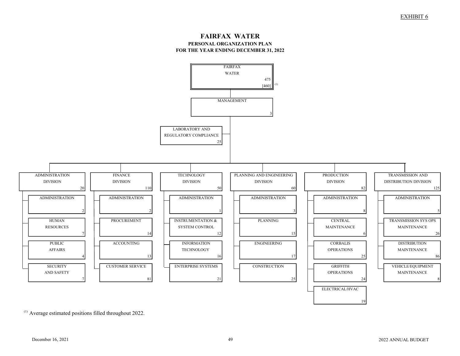#### FAIRFAX WATER PERSONAL ORGANIZATION PLAN FOR THE YEAR ENDING DECEMBER 31, 2022



(1) Average estimated positions filled throughout 2022.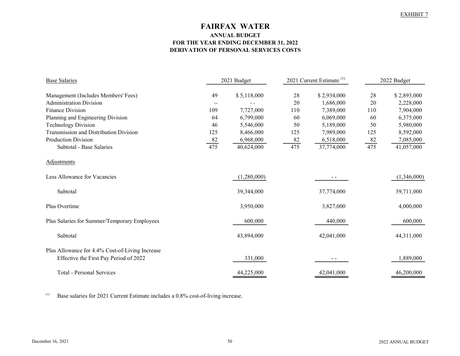# FAIRFAX WATER ANNUAL BUDGET FOR THE YEAR ENDING DECEMBER 31, 2022 DERIVATION OF PERSONAL SERVICES COSTS

| <b>Base Salaries</b>                            | 2021 Budget              |             | 2021 Current Estimate <sup>(1)</sup> |             | 2022 Budget      |             |
|-------------------------------------------------|--------------------------|-------------|--------------------------------------|-------------|------------------|-------------|
| Management (Includes Members' Fees)             | 49                       | \$5,118,000 | 28                                   | \$2,934,000 | 28               | \$2,893,000 |
| <b>Administration Division</b>                  | $\overline{\phantom{a}}$ |             | 20                                   | 1,686,000   | 20               | 2,228,000   |
| <b>Finance Division</b>                         | 109                      | 7,727,000   | 110                                  | 7,389,000   | 110              | 7,904,000   |
| Planning and Engineering Division               | 64                       | 6,799,000   | 60                                   | 6,069,000   | 60               | 6,375,000   |
| <b>Technology Division</b>                      | 46                       | 5,546,000   | 50                                   | 5,189,000   | 50               | 5,980,000   |
| Transmission and Distribution Division          | 125                      | 8,466,000   | 125                                  | 7,989,000   | 125              | 8,592,000   |
| <b>Production Division</b>                      | 82                       | 6,968,000   | 82                                   | 6,518,000   |                  | 7,085,000   |
| Subtotal - Base Salaries                        | 475                      | 40,624,000  | 475                                  | 37,774,000  | $\frac{82}{475}$ | 41,057,000  |
| <b>Adjustments</b>                              |                          |             |                                      |             |                  |             |
| Less Allowance for Vacancies                    |                          | (1,280,000) |                                      | $ -$        |                  | (1,346,000) |
| Subtotal                                        |                          | 39,344,000  |                                      | 37,774,000  |                  | 39,711,000  |
| Plus Overtime                                   |                          | 3,950,000   |                                      | 3,827,000   |                  | 4,000,000   |
| Plus Salaries for Summer/Temporary Employees    |                          | 600,000     |                                      | 440,000     |                  | 600,000     |
| Subtotal                                        |                          | 43,894,000  |                                      | 42,041,000  |                  | 44,311,000  |
| Plus Allowance for 4.4% Cost-of-Living Increase |                          |             |                                      |             |                  |             |
| Effective the First Pay Period of 2022          |                          | 331,000     |                                      | $ -$        |                  | 1,889,000   |
| Total - Personal Services                       |                          | 44,225,000  |                                      | 42,041,000  |                  | 46,200,000  |

(1) Base salaries for 2021 Current Estimate includes a 0.8% cost-of-living increase.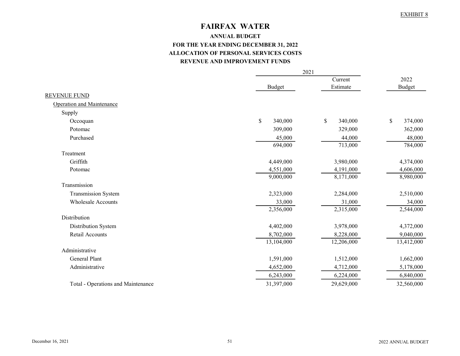# FAIRFAX WATER

# ANNUAL BUDGET FOR THE YEAR ENDING DECEMBER 31, 2022 ALLOCATION OF PERSONAL SERVICES COSTS REVENUE AND IMPROVEMENT FUNDS

|                                    |               | 2021          |               |  |
|------------------------------------|---------------|---------------|---------------|--|
|                                    |               | Current       |               |  |
|                                    | <b>Budget</b> | Estimate      | <b>Budget</b> |  |
| <b>REVENUE FUND</b>                |               |               |               |  |
| <b>Operation and Maintenance</b>   |               |               |               |  |
| Supply                             |               |               |               |  |
| Occoquan                           | \$<br>340,000 | \$<br>340,000 | \$<br>374,000 |  |
| Potomac                            | 309,000       | 329,000       | 362,000       |  |
| Purchased                          | 45,000        | 44,000        | 48,000        |  |
|                                    | 694,000       | 713,000       | 784,000       |  |
| Treatment                          |               |               |               |  |
| Griffith                           | 4,449,000     | 3,980,000     | 4,374,000     |  |
| Potomac                            | 4,551,000     | 4,191,000     | 4,606,000     |  |
|                                    | 9,000,000     | 8,171,000     | 8,980,000     |  |
| Transmission                       |               |               |               |  |
| Transmission System                | 2,323,000     | 2,284,000     | 2,510,000     |  |
| <b>Wholesale Accounts</b>          | 33,000        | 31,000        | 34,000        |  |
|                                    | 2,356,000     | 2,315,000     | 2,544,000     |  |
| Distribution                       |               |               |               |  |
| Distribution System                | 4,402,000     | 3,978,000     | 4,372,000     |  |
| Retail Accounts                    | 8,702,000     | 8,228,000     | 9,040,000     |  |
|                                    | 13,104,000    | 12,206,000    | 13,412,000    |  |
| Administrative                     |               |               |               |  |
| <b>General Plant</b>               | 1,591,000     | 1,512,000     | 1,662,000     |  |
| Administrative                     | 4,652,000     | 4,712,000     | 5,178,000     |  |
|                                    | 6,243,000     | 6,224,000     | 6,840,000     |  |
| Total - Operations and Maintenance | 31,397,000    | 29,629,000    | 32,560,000    |  |